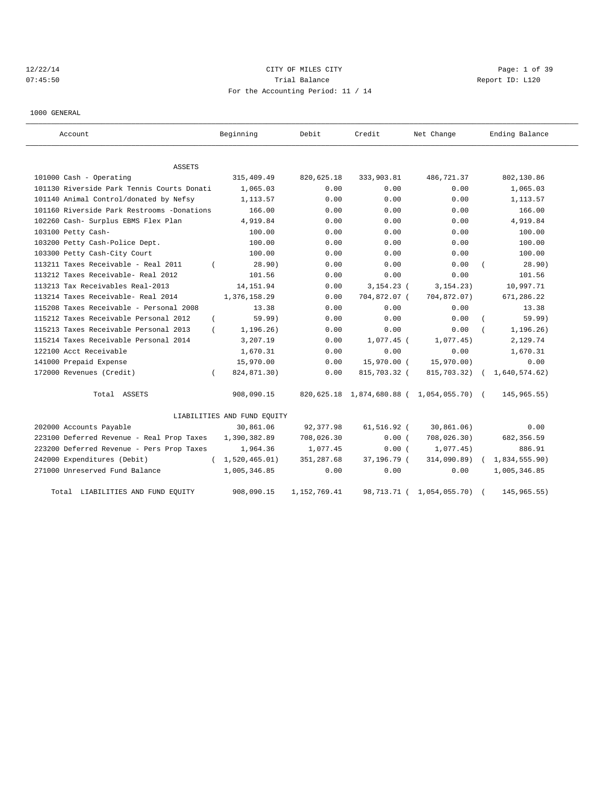## 12/22/14 CITY OF MILES CITY Page: 1 of 39 07:45:50 Report ID: L120 For the Accounting Period: 11 / 14

1000 GENERAL

| Account                                    | Beginning                   | Debit          | Credit         | Net Change                                | Ending Balance              |
|--------------------------------------------|-----------------------------|----------------|----------------|-------------------------------------------|-----------------------------|
| ASSETS                                     |                             |                |                |                                           |                             |
| 101000 Cash - Operating                    | 315,409.49                  | 820,625.18     | 333,903.81     | 486,721.37                                | 802,130.86                  |
| 101130 Riverside Park Tennis Courts Donati | 1,065.03                    | 0.00           | 0.00           | 0.00                                      | 1,065.03                    |
| 101140 Animal Control/donated by Nefsy     | 1,113.57                    | 0.00           | 0.00           | 0.00                                      | 1, 113.57                   |
| 101160 Riverside Park Restrooms -Donations | 166.00                      | 0.00           | 0.00           | 0.00                                      | 166.00                      |
| 102260 Cash- Surplus EBMS Flex Plan        | 4,919.84                    | 0.00           | 0.00           | 0.00                                      | 4,919.84                    |
| 103100 Petty Cash-                         | 100.00                      | 0.00           | 0.00           | 0.00                                      | 100.00                      |
| 103200 Petty Cash-Police Dept.             | 100.00                      | 0.00           | 0.00           | 0.00                                      | 100.00                      |
| 103300 Petty Cash-City Court               | 100.00                      | 0.00           | 0.00           | 0.00                                      | 100.00                      |
| 113211 Taxes Receivable - Real 2011        | 28.90)                      | 0.00           | 0.00           | 0.00                                      | 28.90)                      |
| 113212 Taxes Receivable- Real 2012         | 101.56                      | 0.00           | 0.00           | 0.00                                      | 101.56                      |
| 113213 Tax Receivables Real-2013           | 14, 151.94                  | 0.00           | $3, 154.23$ (  | 3, 154.23)                                | 10,997.71                   |
| 113214 Taxes Receivable- Real 2014         | 1,376,158.29                | 0.00           | 704,872.07 (   | 704,872.07)                               | 671,286.22                  |
| 115208 Taxes Receivable - Personal 2008    | 13.38                       | 0.00           | 0.00           | 0.00                                      | 13.38                       |
| 115212 Taxes Receivable Personal 2012      | 59.99)                      | 0.00           | 0.00           | 0.00                                      | 59.99)                      |
| 115213 Taxes Receivable Personal 2013      | 1,196.26)                   | 0.00           | 0.00           | 0.00                                      | 1, 196.26)                  |
| 115214 Taxes Receivable Personal 2014      | 3,207.19                    | 0.00           | $1,077.45$ (   | 1,077.45)                                 | 2,129.74                    |
| 122100 Acct Receivable                     | 1,670.31                    | 0.00           | 0.00           | 0.00                                      | 1,670.31                    |
| 141000 Prepaid Expense                     | 15,970.00                   | 0.00           | 15,970.00 (    | 15,970.00)                                | 0.00                        |
| 172000 Revenues (Credit)                   | 824,871.30)<br>$\left($     | 0.00           | 815,703.32 (   | 815,703.32)                               | 1,640,574.62)<br>$\sqrt{2}$ |
| Total ASSETS                               | 908,090.15                  |                |                | 820,625.18 1,874,680.88 ( 1,054,055.70) ( | 145, 965.55)                |
|                                            | LIABILITIES AND FUND EQUITY |                |                |                                           |                             |
| 202000 Accounts Payable                    | 30,861.06                   | 92, 377.98     | $61, 516.92$ ( | 30,861.06)                                | 0.00                        |
| 223100 Deferred Revenue - Real Prop Taxes  | 1,390,382.89                | 708,026.30     | 0.00(          | 708,026.30)                               | 682, 356.59                 |
| 223200 Deferred Revenue - Pers Prop Taxes  | 1,964.36                    | 1,077.45       | 0.00(          | 1,077.45)                                 | 886.91                      |
| 242000 Expenditures (Debit)                | 1,520,465.01)<br>$\sqrt{2}$ | 351,287.68     | 37,196.79 (    | 314,090.89)                               | 1,834,555.90)               |
| 271000 Unreserved Fund Balance             | 1,005,346.85                | 0.00           | 0.00           | 0.00                                      | 1,005,346.85                |
| LIABILITIES AND FUND EQUITY<br>Total       | 908,090.15                  | 1, 152, 769.41 | 98,713.71 (    | 1,054,055.70)                             | 145, 965. 55)               |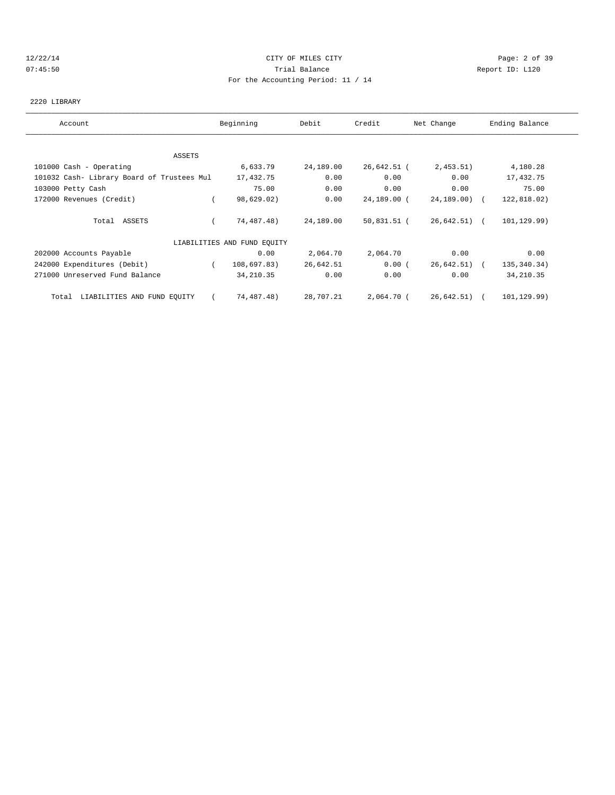### 12/22/14 CITY OF MILES CITY Page: 2 of 39 07:45:50 Trial Balance Report ID: L120 For the Accounting Period: 11 / 14

### 2220 LIBRARY

| Account                                    | Beginning                   | Debit     | Credit      | Net Change     | Ending Balance |
|--------------------------------------------|-----------------------------|-----------|-------------|----------------|----------------|
|                                            |                             |           |             |                |                |
| ASSETS                                     |                             |           |             |                |                |
| 101000 Cash - Operating                    | 6,633.79                    | 24,189.00 | 26,642.51 ( | 2,453.51)      | 4,180.28       |
| 101032 Cash- Library Board of Trustees Mul | 17,432.75                   | 0.00      | 0.00        | 0.00           | 17,432.75      |
| 103000 Petty Cash                          | 75.00                       | 0.00      | 0.00        | 0.00           | 75.00          |
| 172000 Revenues (Credit)                   | 98,629.02)                  | 0.00      | 24,189.00 ( | 24,189.00) (   | 122,818.02)    |
| Total ASSETS                               | 74,487.48)                  | 24,189.00 | 50,831.51 ( | $26,642.51$ (  | 101, 129.99)   |
|                                            | LIABILITIES AND FUND EQUITY |           |             |                |                |
| 202000 Accounts Payable                    | 0.00                        | 2,064.70  | 2,064.70    | 0.00           | 0.00           |
| 242000 Expenditures (Debit)                | 108,697.83)<br>$\left($     | 26,642.51 | 0.00(       | $26,642.51)$ ( | 135, 340. 34)  |
| 271000 Unreserved Fund Balance             | 34, 210.35                  | 0.00      | 0.00        | 0.00           | 34, 210.35     |
| LIABILITIES AND FUND EQUITY<br>Total       | 74,487.48)                  | 28,707.21 | 2,064.70 (  | $26,642.51$ (  | 101,129.99)    |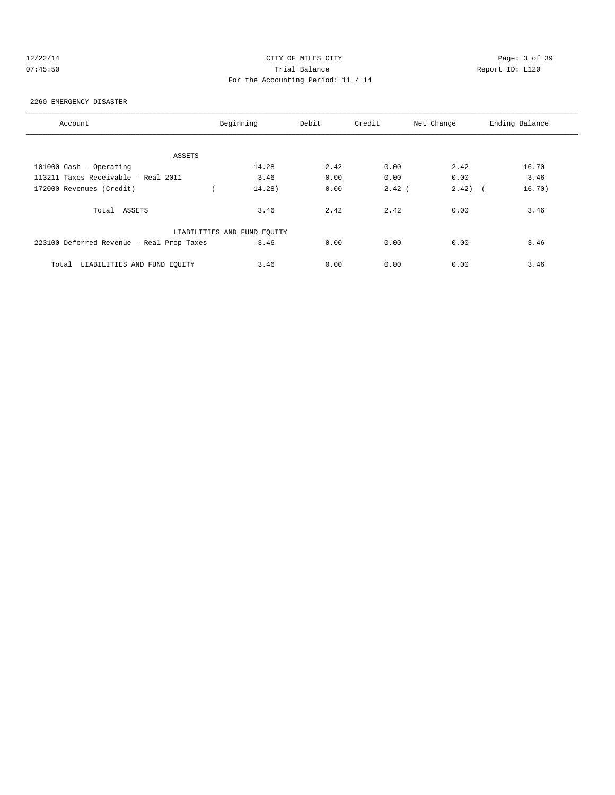## 12/22/14 CITY OF MILES CITY Page: 3 of 39 07:45:50 Trial Balance Report ID: L120 For the Accounting Period: 11 / 14

### 2260 EMERGENCY DISASTER

| Account                                   | Beginning                   | Debit | Credit   | Net Change          | Ending Balance |
|-------------------------------------------|-----------------------------|-------|----------|---------------------|----------------|
|                                           |                             |       |          |                     |                |
| ASSETS                                    |                             |       |          |                     |                |
| 101000 Cash - Operating                   | 14.28                       | 2.42  | 0.00     | 2.42                | 16.70          |
| 113211 Taxes Receivable - Real 2011       | 3.46                        | 0.00  | 0.00     | 0.00                | 3.46           |
| 172000 Revenues (Credit)                  | 14.28)                      | 0.00  | $2.42$ ( | 2.42)<br>$\sqrt{2}$ | 16.70)         |
| Total ASSETS                              | 3.46                        | 2.42  | 2.42     | 0.00                | 3.46           |
|                                           | LIABILITIES AND FUND EQUITY |       |          |                     |                |
| 223100 Deferred Revenue - Real Prop Taxes | 3.46                        | 0.00  | 0.00     | 0.00                | 3.46           |
| LIABILITIES AND FUND EOUITY<br>Total      | 3.46                        | 0.00  | 0.00     | 0.00                | 3.46           |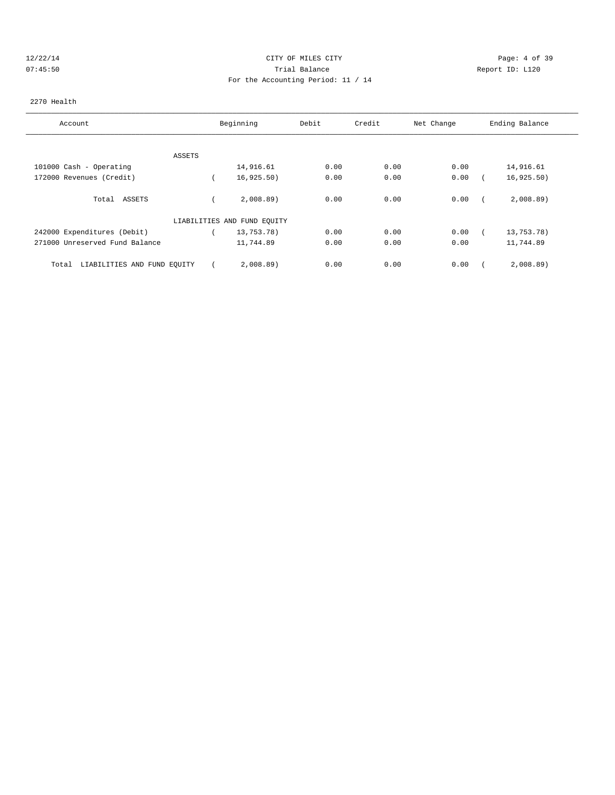## 12/22/14 CITY OF MILES CITY Page: 4 of 39 07:45:50 Trial Balance Report ID: L120 For the Accounting Period: 11 / 14

### 2270 Health

| Account                              |        | Beginning                   | Debit | Credit | Net Change | Ending Balance |
|--------------------------------------|--------|-----------------------------|-------|--------|------------|----------------|
|                                      |        |                             |       |        |            |                |
|                                      | ASSETS |                             |       |        |            |                |
| 101000 Cash - Operating              |        | 14,916.61                   | 0.00  | 0.00   | 0.00       | 14,916.61      |
| 172000 Revenues (Credit)             |        | 16, 925.50)                 | 0.00  | 0.00   | 0.00       | 16, 925.50)    |
| Total ASSETS                         |        | 2,008.89                    | 0.00  | 0.00   | 0.00       | 2,008.89       |
|                                      |        | LIABILITIES AND FUND EQUITY |       |        |            |                |
| 242000 Expenditures (Debit)          |        | 13,753.78)                  | 0.00  | 0.00   | 0.00       | 13,753.78)     |
| 271000 Unreserved Fund Balance       |        | 11,744.89                   | 0.00  | 0.00   | 0.00       | 11,744.89      |
| LIABILITIES AND FUND EQUITY<br>Total |        | 2,008.89                    | 0.00  | 0.00   | 0.00       | 2,008.89       |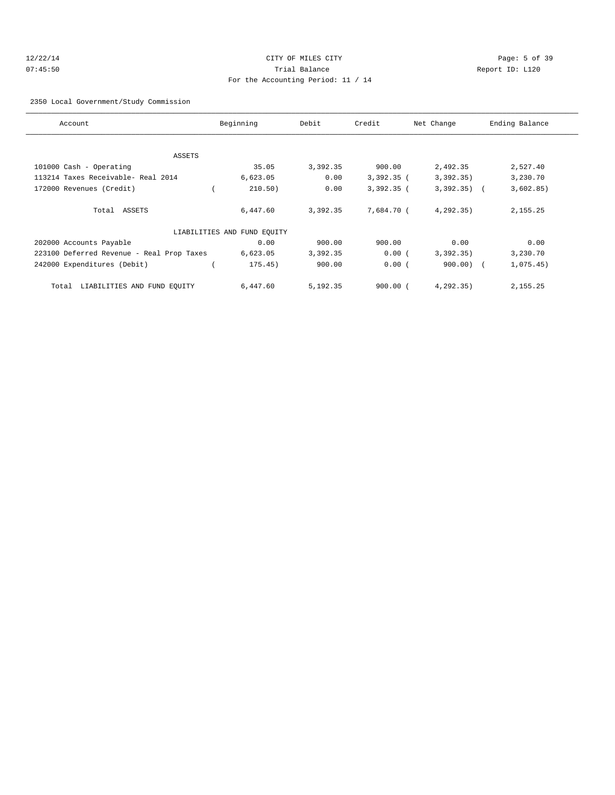## 12/22/14 CITY OF MILES CITY Page: 5 of 39 07:45:50 Trial Balance Report ID: L120 For the Accounting Period: 11 / 14

2350 Local Government/Study Commission

| Account                                   | Beginning                   | Debit    | Credit       | Net Change   | Ending Balance |
|-------------------------------------------|-----------------------------|----------|--------------|--------------|----------------|
|                                           |                             |          |              |              |                |
| ASSETS                                    |                             |          |              |              |                |
| 101000 Cash - Operating                   | 35.05                       | 3,392.35 | 900.00       | 2,492.35     | 2,527.40       |
| 113214 Taxes Receivable- Real 2014        | 6,623.05                    | 0.00     | $3,392.35$ ( | 3,392.35)    | 3,230.70       |
| 172000 Revenues (Credit)                  | 210.50)                     | 0.00     | $3,392.35$ ( | $3,392.35$ ( | 3,602.85)      |
| Total ASSETS                              | 6,447.60                    | 3,392.35 | 7,684.70 (   | 4,292.35)    | 2,155.25       |
|                                           | LIABILITIES AND FUND EQUITY |          |              |              |                |
| 202000 Accounts Payable                   | 0.00                        | 900.00   | 900.00       | 0.00         | 0.00           |
| 223100 Deferred Revenue - Real Prop Taxes | 6,623.05                    | 3,392.35 | 0.00(        | 3,392,35)    | 3,230.70       |
| 242000 Expenditures (Debit)               | 175.45)                     | 900.00   | 0.00(        | $900.00)$ (  | 1,075.45)      |
| LIABILITIES AND FUND EQUITY<br>Total      | 6,447.60                    | 5,192.35 | $900.00$ $($ | 4,292.35)    | 2,155.25       |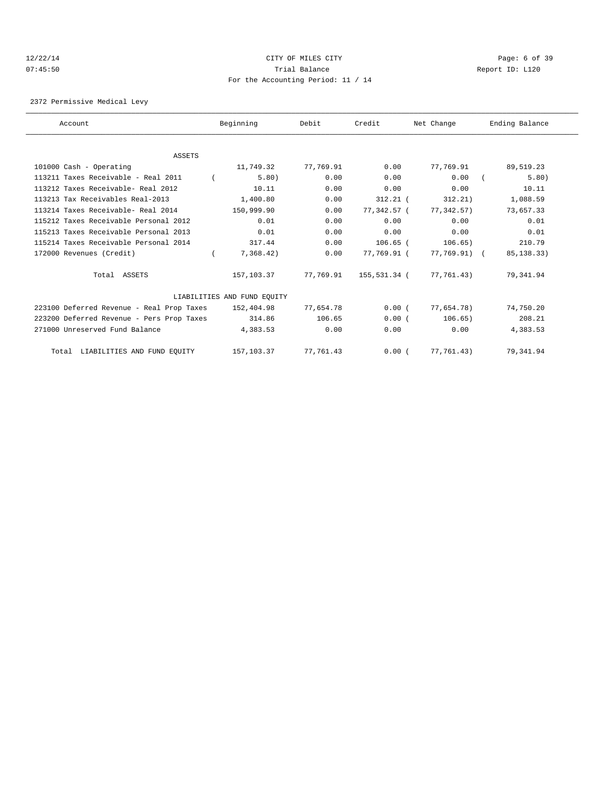### 12/22/14 CITY OF MILES CITY Page: 6 of 39 07:45:50 Trial Balance Report ID: L120 For the Accounting Period: 11 / 14

2372 Permissive Medical Levy

| Account                                   | Beginning                   | Debit        | Credit        | Net Change   | Ending Balance |
|-------------------------------------------|-----------------------------|--------------|---------------|--------------|----------------|
|                                           |                             |              |               |              |                |
| <b>ASSETS</b>                             |                             |              |               |              |                |
| 101000 Cash - Operating                   | 11,749.32                   | 77,769.91    | 0.00          | 77,769.91    | 89,519.23      |
| 113211 Taxes Receivable - Real 2011       |                             | 5.80<br>0.00 | 0.00          | 0.00         | 5.80)          |
| 113212 Taxes Receivable- Real 2012        | 10.11                       | 0.00         | 0.00          | 0.00         | 10.11          |
| 113213 Tax Receivables Real-2013          | 1,400.80                    | 0.00         | $312.21$ (    | 312.21)      | 1,088.59       |
| 113214 Taxes Receivable- Real 2014        | 150,999.90                  | 0.00         | 77,342.57 (   | 77,342.57)   | 73,657.33      |
| 115212 Taxes Receivable Personal 2012     |                             | 0.01<br>0.00 | 0.00          | 0.00         | 0.01           |
| 115213 Taxes Receivable Personal 2013     |                             | 0.01<br>0.00 | 0.00          | 0.00         | 0.01           |
| 115214 Taxes Receivable Personal 2014     | 317.44                      | 0.00         | $106.65$ (    | 106.65)      | 210.79         |
| 172000 Revenues (Credit)                  | 7,368.42)                   | 0.00         | $77.769.91$ ( | 77,769.91) ( | 85, 138. 33)   |
| Total ASSETS                              | 157,103.37                  | 77,769.91    | 155,531.34 (  | 77,761.43)   | 79,341.94      |
|                                           | LIABILITIES AND FUND EQUITY |              |               |              |                |
| 223100 Deferred Revenue - Real Prop Taxes | 152,404.98                  | 77,654.78    | 0.00(         | 77,654.78)   | 74,750.20      |
| 223200 Deferred Revenue - Pers Prop Taxes | 314.86                      | 106.65       | 0.00(         | 106.65)      | 208.21         |
| 271000 Unreserved Fund Balance            | 4,383.53                    | 0.00         | 0.00          | 0.00         | 4,383.53       |
| Total LIABILITIES AND FUND EQUITY         | 157,103.37                  | 77,761.43    | 0.00(         | 77,761.43)   | 79,341.94      |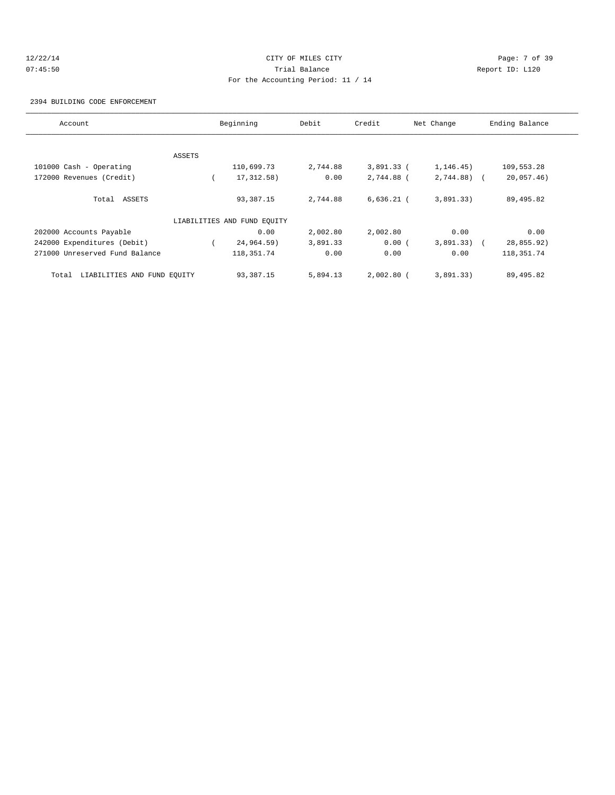## 12/22/14 CITY OF MILES CITY Page: 7 of 39 07:45:50 Trial Balance Report ID: L120 For the Accounting Period: 11 / 14

2394 BUILDING CODE ENFORCEMENT

| Account                              |        | Beginning                   | Debit    | Credit       | Net Change   | Ending Balance |
|--------------------------------------|--------|-----------------------------|----------|--------------|--------------|----------------|
|                                      |        |                             |          |              |              |                |
|                                      | ASSETS |                             |          |              |              |                |
| 101000 Cash - Operating              |        | 110,699.73                  | 2,744.88 | 3,891.33 (   | 1, 146.45)   | 109,553.28     |
| 172000 Revenues (Credit)             |        | 17, 312.58)                 | 0.00     | 2,744.88 (   | $2,744.88$ ( | 20,057.46)     |
| Total ASSETS                         |        | 93,387.15                   | 2,744.88 | $6,636.21$ ( | 3,891.33)    | 89,495.82      |
|                                      |        | LIABILITIES AND FUND EQUITY |          |              |              |                |
| 202000 Accounts Payable              |        | 0.00                        | 2,002.80 | 2,002.80     | 0.00         | 0.00           |
| 242000 Expenditures (Debit)          |        | 24,964.59)                  | 3,891.33 | 0.00(        | $3,891.33$ ( | 28,855.92)     |
| 271000 Unreserved Fund Balance       |        | 118, 351.74                 | 0.00     | 0.00         | 0.00         | 118, 351. 74   |
| LIABILITIES AND FUND EQUITY<br>Total |        | 93,387.15                   | 5,894.13 | $2,002.80$ ( | 3,891.33)    | 89,495.82      |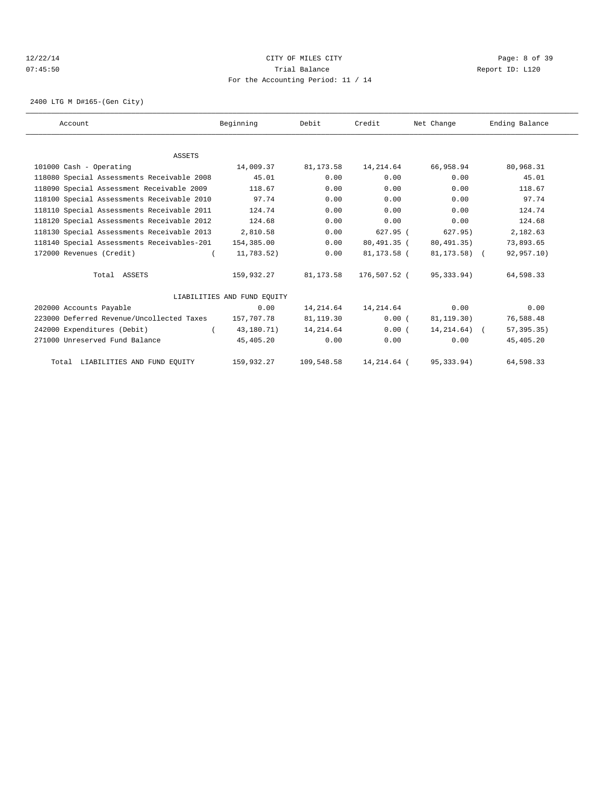## 12/22/14 CITY OF MILES CITY Page: 8 of 39 07:45:50 Trial Balance Report ID: L120 For the Accounting Period: 11 / 14

2400 LTG M D#165-(Gen City)

| Account                                    | Beginning                   | Debit       | Credit       | Net Change       | Ending Balance |  |
|--------------------------------------------|-----------------------------|-------------|--------------|------------------|----------------|--|
|                                            |                             |             |              |                  |                |  |
| ASSETS                                     |                             |             |              |                  |                |  |
| 101000 Cash - Operating                    | 14,009.37                   | 81, 173.58  | 14, 214.64   | 66,958.94        | 80,968.31      |  |
| 118080 Special Assessments Receivable 2008 | 45.01                       | 0.00        | 0.00         | 0.00             | 45.01          |  |
| 118090 Special Assessment Receivable 2009  | 118.67                      | 0.00        | 0.00         | 0.00             | 118.67         |  |
| 118100 Special Assessments Receivable 2010 | 97.74                       | 0.00        | 0.00         | 0.00             | 97.74          |  |
| 118110 Special Assessments Receivable 2011 | 124.74                      | 0.00        | 0.00         | 0.00             | 124.74         |  |
| 118120 Special Assessments Receivable 2012 | 124.68                      | 0.00        | 0.00         | 0.00             | 124.68         |  |
| 118130 Special Assessments Receivable 2013 | 2,810.58                    | 0.00        | $627.95$ (   | 627.95)          | 2,182.63       |  |
| 118140 Special Assessments Receivables-201 | 154,385.00                  | 0.00        | 80,491.35 (  | 80,491.35)       | 73,893.65      |  |
| 172000 Revenues (Credit)                   | 11,783.52)                  | 0.00        | 81,173.58 (  | 81,173.58) (     | 92,957.10)     |  |
| Total ASSETS                               | 159,932.27                  | 81,173.58   | 176,507.52 ( | 95,333.94)       | 64,598.33      |  |
|                                            | LIABILITIES AND FUND EOUITY |             |              |                  |                |  |
| 202000 Accounts Payable                    | 0.00                        | 14,214.64   | 14, 214.64   | 0.00             | 0.00           |  |
| 223000 Deferred Revenue/Uncollected Taxes  | 157,707.78                  | 81,119.30   | 0.00(        | 81,119.30)       | 76,588.48      |  |
| 242000 Expenditures (Debit)                | 43,180.71)                  | 14, 214, 64 | 0.00(        | $14, 214.64$ ) ( | 57, 395.35)    |  |
| 271000 Unreserved Fund Balance             | 45,405.20                   | 0.00        | 0.00         | 0.00             | 45,405.20      |  |
| Total LIABILITIES AND FUND EQUITY          | 159,932.27                  | 109,548.58  | 14,214.64 (  | 95, 333.94)      | 64,598.33      |  |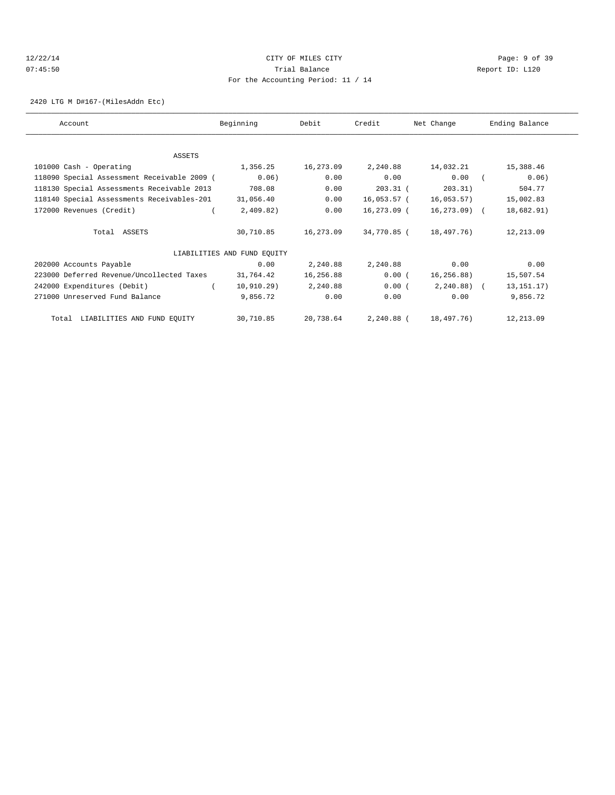## 12/22/14 CITY OF MILES CITY Page: 9 of 39 07:45:50 Trial Balance Report ID: L120 For the Accounting Period: 11 / 14

2420 LTG M D#167-(MilesAddn Etc)

| Account                                     | Beginning                   | Debit     | Credit      | Net Change   | Ending Balance |
|---------------------------------------------|-----------------------------|-----------|-------------|--------------|----------------|
|                                             |                             |           |             |              |                |
| ASSETS                                      |                             |           |             |              |                |
| 101000 Cash - Operating                     | 1,356.25                    | 16,273.09 | 2,240.88    | 14,032.21    | 15,388.46      |
| 118090 Special Assessment Receivable 2009 ( | 0.06)                       | 0.00      | 0.00        | 0.00         | 0.06)          |
| 118130 Special Assessments Receivable 2013  | 708.08                      | 0.00      | $203.31$ (  | 203.31)      | 504.77         |
| 118140 Special Assessments Receivables-201  | 31,056.40                   | 0.00      | 16,053.57 ( | 16,053.57)   | 15,002.83      |
| 172000 Revenues (Credit)                    | 2,409.82)                   | 0.00      | 16,273.09 ( | 16,273.09) ( | 18,682.91)     |
| Total ASSETS                                | 30,710.85                   | 16,273.09 | 34,770.85 ( | 18,497.76)   | 12,213.09      |
|                                             | LIABILITIES AND FUND EQUITY |           |             |              |                |
| 202000 Accounts Payable                     | 0.00                        | 2,240.88  | 2,240.88    | 0.00         | 0.00           |
| 223000 Deferred Revenue/Uncollected Taxes   | 31,764.42                   | 16,256.88 | 0.00(       | 16, 256.88)  | 15,507.54      |
| 242000 Expenditures (Debit)                 | 10,910.29)                  | 2,240.88  | 0.00(       | $2,240.88$ ( | 13, 151. 17)   |
| 271000 Unreserved Fund Balance              | 9,856.72                    | 0.00      | 0.00        | 0.00         | 9,856.72       |
| Total LIABILITIES AND FUND EQUITY           | 30,710.85                   | 20,738.64 | 2,240.88 (  | 18,497.76)   | 12,213.09      |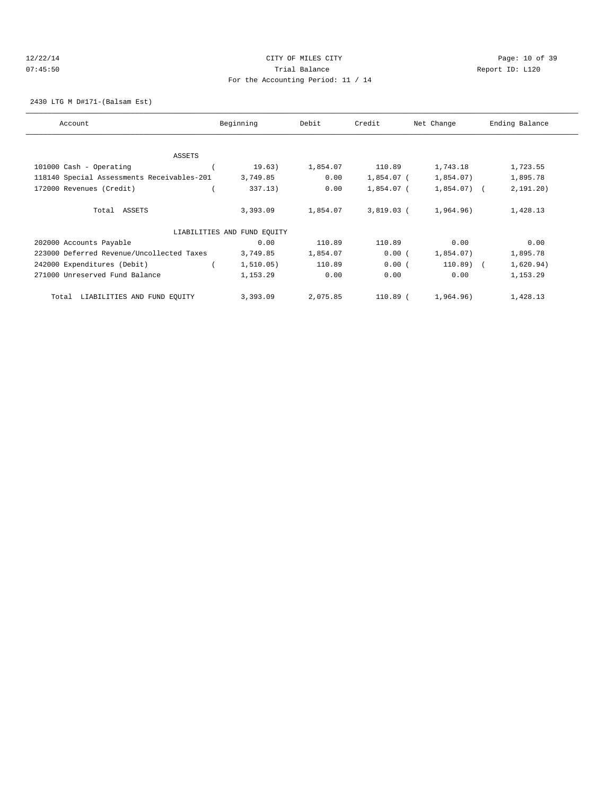## 12/22/14 Page: 10 of 39 07:45:50 Trial Balance Report ID: L120 For the Accounting Period: 11 / 14

2430 LTG M D#171-(Balsam Est)

| Account                                    | Beginning                   | Debit    | Credit     | Net Change   | Ending Balance |
|--------------------------------------------|-----------------------------|----------|------------|--------------|----------------|
|                                            |                             |          |            |              |                |
| <b>ASSETS</b>                              |                             |          |            |              |                |
| 101000 Cash - Operating                    | 19.63)                      | 1,854.07 | 110.89     | 1,743.18     | 1,723.55       |
| 118140 Special Assessments Receivables-201 | 3,749.85                    | 0.00     | 1,854.07 ( | 1,854.07)    | 1,895.78       |
| 172000 Revenues (Credit)                   | 337.13)                     | 0.00     | 1,854.07 ( | $1,854.07$ ( | 2,191.20)      |
| Total ASSETS                               | 3,393.09                    | 1,854.07 | 3,819.03 ( | 1,964.96)    | 1,428.13       |
|                                            | LIABILITIES AND FUND EQUITY |          |            |              |                |
| 202000 Accounts Payable                    | 0.00                        | 110.89   | 110.89     | 0.00         | 0.00           |
| 223000 Deferred Revenue/Uncollected Taxes  | 3,749.85                    | 1,854.07 | 0.00(      | 1,854.07)    | 1,895.78       |
| 242000 Expenditures (Debit)                | 1, 510.05)                  | 110.89   | 0.00(      | $110.89$ (   | 1,620.94)      |
| 271000 Unreserved Fund Balance             | 1,153.29                    | 0.00     | 0.00       | 0.00         | 1,153.29       |
| LIABILITIES AND FUND EQUITY<br>Total       | 3,393.09                    | 2,075.85 | 110.89 (   | 1,964.96)    | 1,428.13       |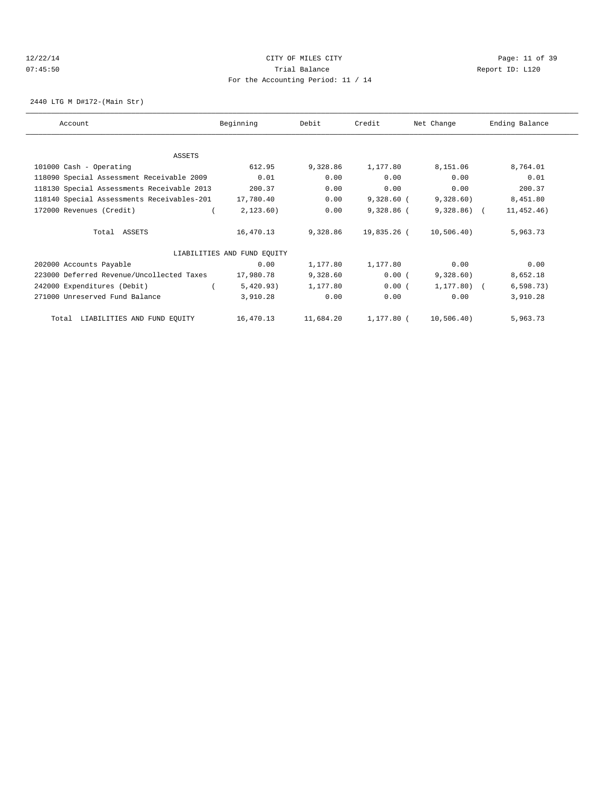### 12/22/14 Page: 11 of 39 07:45:50 Trial Balance Report ID: L120 For the Accounting Period: 11 / 14

2440 LTG M D#172-(Main Str)

| Account                                    | Beginning                   | Debit     | Credit       | Net Change   | Ending Balance |
|--------------------------------------------|-----------------------------|-----------|--------------|--------------|----------------|
|                                            |                             |           |              |              |                |
| ASSETS                                     |                             |           |              |              |                |
| 101000 Cash - Operating                    | 612.95                      | 9,328.86  | 1,177.80     | 8,151.06     | 8,764.01       |
| 118090 Special Assessment Receivable 2009  | 0.01                        | 0.00      | 0.00         | 0.00         | 0.01           |
| 118130 Special Assessments Receivable 2013 | 200.37                      | 0.00      | 0.00         | 0.00         | 200.37         |
| 118140 Special Assessments Receivables-201 | 17,780.40                   | 0.00      | $9,328.60$ ( | 9,328.60)    | 8,451.80       |
| 172000 Revenues (Credit)                   | 2,123.60)                   | 0.00      | $9,328.86$ ( | $9,328.86$ ( | 11,452.46)     |
| Total ASSETS                               | 16,470.13                   | 9,328.86  | 19,835.26 (  | 10,506.40)   | 5,963.73       |
|                                            | LIABILITIES AND FUND EQUITY |           |              |              |                |
| 202000 Accounts Payable                    | 0.00                        | 1,177.80  | 1,177.80     | 0.00         | 0.00           |
| 223000 Deferred Revenue/Uncollected Taxes  | 17,980.78                   | 9,328.60  | 0.00(        | 9,328.60)    | 8,652.18       |
| 242000 Expenditures (Debit)                | 5,420.93)                   | 1,177.80  | 0.00(        | $1,177.80$ ( | 6, 598.73)     |
| 271000 Unreserved Fund Balance             | 3,910.28                    | 0.00      | 0.00         | 0.00         | 3,910.28       |
| Total LIABILITIES AND FUND EQUITY          | 16,470.13                   | 11,684.20 | 1,177.80 (   | 10,506.40)   | 5,963.73       |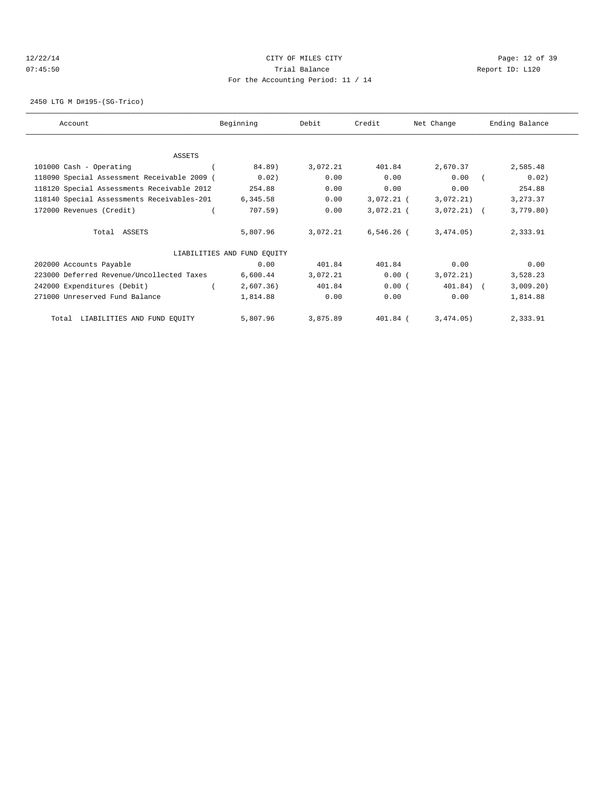### 12/22/14 Page: 12 of 39 07:45:50 Trial Balance Report ID: L120 For the Accounting Period: 11 / 14

2450 LTG M D#195-(SG-Trico)

| Account                                     | Beginning                   | Debit    | Credit       | Net Change   | Ending Balance |
|---------------------------------------------|-----------------------------|----------|--------------|--------------|----------------|
|                                             |                             |          |              |              |                |
| ASSETS                                      |                             |          |              |              |                |
| 101000 Cash - Operating                     | 84.89)                      | 3,072.21 | 401.84       | 2,670.37     | 2,585.48       |
| 118090 Special Assessment Receivable 2009 ( | 0.02)                       | 0.00     | 0.00         | 0.00         | 0.02)          |
| 118120 Special Assessments Receivable 2012  | 254.88                      | 0.00     | 0.00         | 0.00         | 254.88         |
| 118140 Special Assessments Receivables-201  | 6,345.58                    | 0.00     | $3,072.21$ ( | 3,072.21)    | 3,273.37       |
| 172000 Revenues (Credit)                    | 707.59)                     | 0.00     | $3,072.21$ ( | $3,072.21$ ( | 3,779.80)      |
| Total ASSETS                                | 5,807.96                    | 3,072.21 | $6,546.26$ ( | 3,474.05)    | 2,333.91       |
|                                             | LIABILITIES AND FUND EQUITY |          |              |              |                |
| 202000 Accounts Payable                     | 0.00                        | 401.84   | 401.84       | 0.00         | 0.00           |
| 223000 Deferred Revenue/Uncollected Taxes   | 6,600.44                    | 3,072.21 | 0.00(        | 3,072,21)    | 3,528.23       |
| 242000 Expenditures (Debit)                 | 2,607.36)                   | 401.84   | 0.00(        | 401.84) (    | 3,009.20)      |
| 271000 Unreserved Fund Balance              | 1,814.88                    | 0.00     | 0.00         | 0.00         | 1,814.88       |
| Total LIABILITIES AND FUND EQUITY           | 5,807.96                    | 3,875.89 | 401.84 (     | 3,474.05)    | 2,333.91       |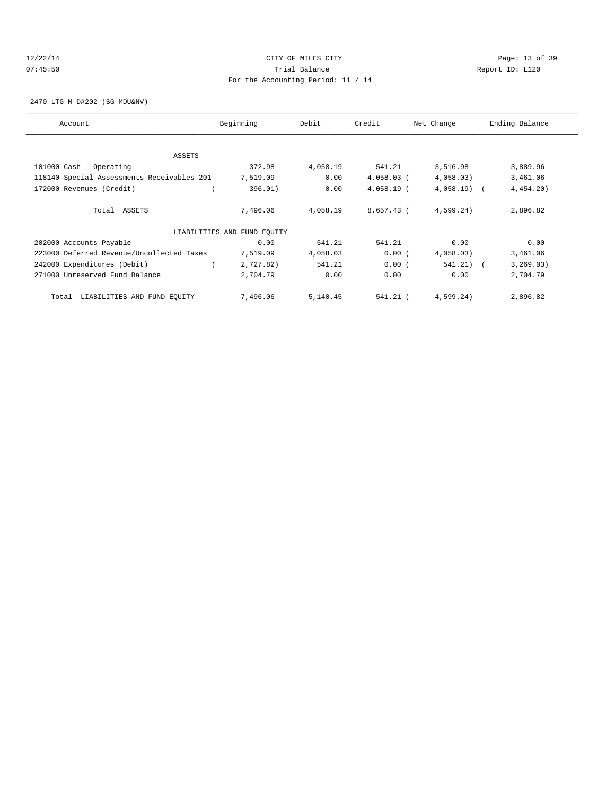## 12/22/14 Page: 13 of 39 07:45:50 Trial Balance Report ID: L120 For the Accounting Period: 11 / 14

2470 LTG M D#202-(SG-MDU&NV)

| Account                                    | Beginning                   | Debit    | Credit       | Net Change   | Ending Balance |
|--------------------------------------------|-----------------------------|----------|--------------|--------------|----------------|
| ASSETS                                     |                             |          |              |              |                |
| 101000 Cash - Operating                    | 372.98                      | 4,058.19 | 541.21       | 3,516.98     | 3,889.96       |
| 118140 Special Assessments Receivables-201 | 7,519.09                    | 0.00     | $4,058.03$ ( | 4,058.03)    | 3,461.06       |
|                                            |                             | 0.00     |              |              |                |
| 172000 Revenues (Credit)                   | 396.01)                     |          | $4,058.19$ ( | $4,058.19$ ( | 4,454.20       |
| Total ASSETS                               | 7,496.06                    | 4,058.19 | 8,657.43 (   | 4,599.24)    | 2,896.82       |
|                                            | LIABILITIES AND FUND EQUITY |          |              |              |                |
| 202000 Accounts Payable                    | 0.00                        | 541.21   | 541.21       | 0.00         | 0.00           |
| 223000 Deferred Revenue/Uncollected Taxes  | 7,519.09                    | 4,058.03 | 0.00(        | 4,058.03)    | 3,461.06       |
| 242000 Expenditures (Debit)                | 2,727.82)                   | 541.21   | 0.00(        | 541.21) (    | 3, 269.03)     |
| 271000 Unreserved Fund Balance             | 2,704.79                    | 0.00     | 0.00         | 0.00         | 2,704.79       |
| LIABILITIES AND FUND EQUITY<br>Total       | 7,496.06                    | 5,140.45 | 541.21 (     | 4,599.24)    | 2,896.82       |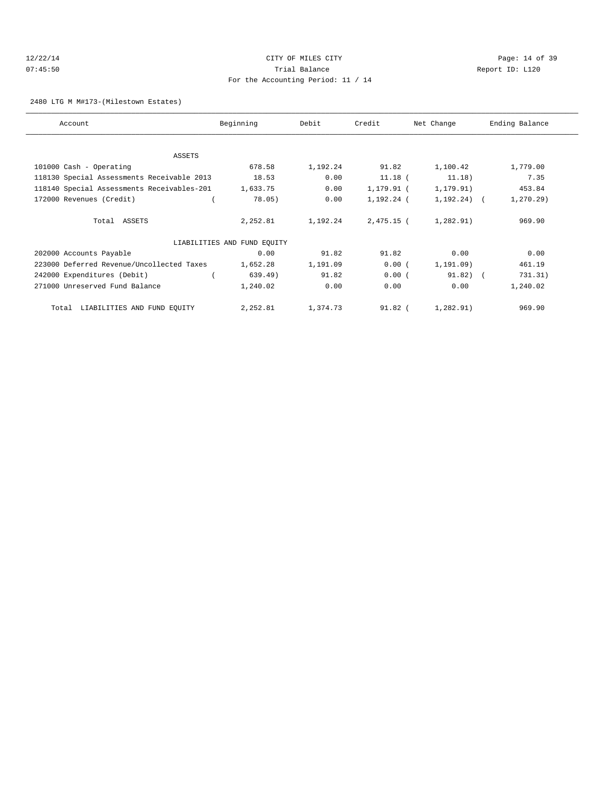## 12/22/14 Page: 14 of 39 07:45:50 Trial Balance Report ID: L120 For the Accounting Period: 11 / 14

2480 LTG M M#173-(Milestown Estates)

| Account                                    | Beginning                   | Debit    | Credit     | Net Change     | Ending Balance |
|--------------------------------------------|-----------------------------|----------|------------|----------------|----------------|
|                                            |                             |          |            |                |                |
| ASSETS                                     |                             |          |            |                |                |
| 101000 Cash - Operating                    | 678.58                      | 1,192.24 | 91.82      | 1,100.42       | 1,779.00       |
| 118130 Special Assessments Receivable 2013 | 18.53                       | 0.00     | $11.18$ (  | 11.18)         | 7.35           |
| 118140 Special Assessments Receivables-201 | 1,633.75                    | 0.00     | 1,179.91 ( | 1, 179.91)     | 453.84         |
| 172000 Revenues (Credit)                   | 78.05)                      | 0.00     | 1,192.24 ( | $1,192.24$ ) ( | $1, 270.29$ )  |
| Total ASSETS                               | 2,252.81                    | 1,192.24 | 2,475.15 ( | 1,282.91)      | 969.90         |
|                                            | LIABILITIES AND FUND EQUITY |          |            |                |                |
| 202000 Accounts Payable                    | 0.00                        | 91.82    | 91.82      | 0.00           | 0.00           |
| 223000 Deferred Revenue/Uncollected Taxes  | 1,652.28                    | 1,191.09 | 0.00(      | 1, 191.09)     | 461.19         |
| 242000 Expenditures (Debit)                | 639.49)                     | 91.82    | 0.00(      | $91.82)$ (     | 731.31)        |
| 271000 Unreserved Fund Balance             | 1,240.02                    | 0.00     | 0.00       | 0.00           | 1,240.02       |
| LIABILITIES AND FUND EQUITY<br>Total       | 2,252.81                    | 1,374.73 | $91.82$ (  | 1,282.91)      | 969.90         |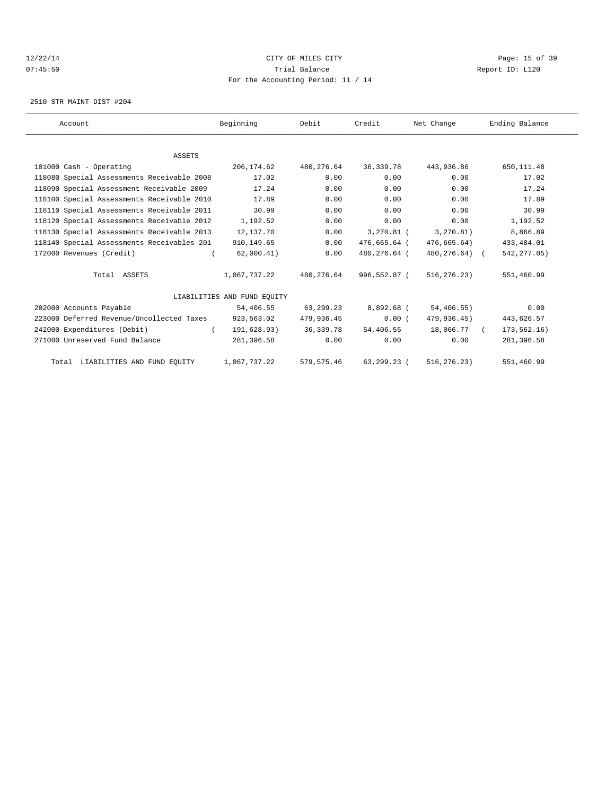## 12/22/14 Page: 15 of 39 07:45:50 Trial Balance Report ID: L120 For the Accounting Period: 11 / 14

2510 STR MAINT DIST #204

| Account                                    | Beginning                   | Debit       | Credit       | Net Change    | Ending Balance |  |
|--------------------------------------------|-----------------------------|-------------|--------------|---------------|----------------|--|
|                                            |                             |             |              |               |                |  |
| <b>ASSETS</b>                              |                             |             |              |               |                |  |
| 101000 Cash - Operating                    | 206,174.62                  | 480,276.64  | 36, 339.78   | 443,936.86    | 650, 111.48    |  |
| 118080 Special Assessments Receivable 2008 | 17.02                       | 0.00        | 0.00         | 0.00          | 17.02          |  |
| 118090 Special Assessment Receivable 2009  | 17.24                       | 0.00        | 0.00         | 0.00          | 17.24          |  |
| 118100 Special Assessments Receivable 2010 | 17.89                       | 0.00        | 0.00         | 0.00          | 17.89          |  |
| 118110 Special Assessments Receivable 2011 | 30.99                       | 0.00        | 0.00         | 0.00          | 30.99          |  |
| 118120 Special Assessments Receivable 2012 | 1,192.52                    | 0.00        | 0.00         | 0.00          | 1,192.52       |  |
| 118130 Special Assessments Receivable 2013 | 12,137.70                   | 0.00        | $3,270.81$ ( | 3, 270.81)    | 8,866.89       |  |
| 118140 Special Assessments Receivables-201 | 910, 149.65                 | 0.00        | 476,665.64 ( | 476,665.64)   | 433, 484.01    |  |
| 172000 Revenues (Credit)                   | 62,000.41)                  | 0.00        | 480,276.64 ( | 480,276.64) ( | 542, 277.05)   |  |
| Total ASSETS                               | 1,067,737.22                | 480,276.64  | 996,552.87 ( | 516, 276.23)  | 551,460.99     |  |
|                                            | LIABILITIES AND FUND EOUITY |             |              |               |                |  |
| 202000 Accounts Payable                    | 54,406.55                   | 63,299.23   | 8,892.68 (   | 54,406.55)    | 0.00           |  |
| 223000 Deferred Revenue/Uncollected Taxes  | 923,563.02                  | 479,936.45  | 0.00(        | 479,936.45)   | 443,626.57     |  |
| 242000 Expenditures (Debit)                | 191,628.93)                 | 36, 339, 78 | 54,406.55    | 18,066.77     | 173,562.16)    |  |
| 271000 Unreserved Fund Balance             | 281,396.58                  | 0.00        | 0.00         | 0.00          | 281,396.58     |  |
| Total LIABILITIES AND FUND EQUITY          | 1,067,737.22                | 579, 575.46 | 63,299.23 (  | 516, 276.23)  | 551,460.99     |  |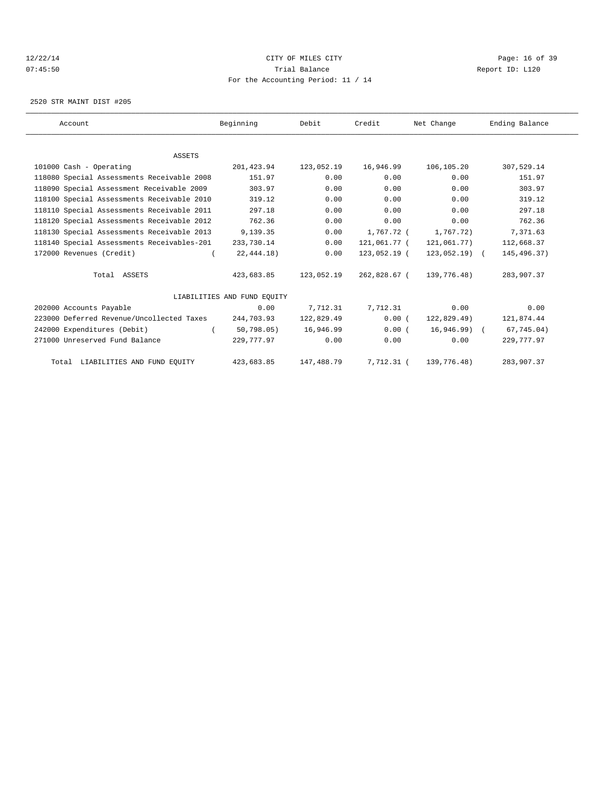### 12/22/14 Page: 16 of 39 07:45:50 Trial Balance Report ID: L120 For the Accounting Period: 11 / 14

2520 STR MAINT DIST #205

| Account                                    | Beginning                   | Debit      | Credit       | Net Change     | Ending Balance |
|--------------------------------------------|-----------------------------|------------|--------------|----------------|----------------|
|                                            |                             |            |              |                |                |
| <b>ASSETS</b>                              |                             |            |              |                |                |
| 101000 Cash - Operating                    | 201,423.94                  | 123,052.19 | 16,946.99    | 106,105.20     | 307,529.14     |
| 118080 Special Assessments Receivable 2008 | 151.97                      | 0.00       | 0.00         | 0.00           | 151.97         |
| 118090 Special Assessment Receivable 2009  | 303.97                      | 0.00       | 0.00         | 0.00           | 303.97         |
| 118100 Special Assessments Receivable 2010 | 319.12                      | 0.00       | 0.00         | 0.00           | 319.12         |
| 118110 Special Assessments Receivable 2011 | 297.18                      | 0.00       | 0.00         | 0.00           | 297.18         |
| 118120 Special Assessments Receivable 2012 | 762.36                      | 0.00       | 0.00         | 0.00           | 762.36         |
| 118130 Special Assessments Receivable 2013 | 9,139.35                    | 0.00       | 1,767.72 (   | 1,767.72)      | 7,371.63       |
| 118140 Special Assessments Receivables-201 | 233,730.14                  | 0.00       | 121,061.77 ( | 121,061.77)    | 112,668.37     |
| 172000 Revenues (Credit)                   | 22,444.18)                  | 0.00       | 123,052.19 ( | $123,052.19$ ( | 145,496.37)    |
| Total ASSETS                               | 423,683.85                  | 123,052.19 | 262,828.67 ( | 139,776.48)    | 283,907.37     |
|                                            | LIABILITIES AND FUND EQUITY |            |              |                |                |
| 202000 Accounts Payable                    | 0.00                        | 7,712.31   | 7,712.31     | 0.00           | 0.00           |
| 223000 Deferred Revenue/Uncollected Taxes  | 244,703.93                  | 122,829.49 | 0.00(        | 122,829.49)    | 121,874.44     |
| 242000 Expenditures (Debit)                | 50, 798.05)                 | 16,946.99  | 0.00(        | $16,946.99$ (  | 67,745.04)     |
| 271000 Unreserved Fund Balance             | 229,777.97                  | 0.00       | 0.00         | 0.00           | 229,777.97     |
| Total LIABILITIES AND FUND EQUITY          | 423,683.85                  | 147,488.79 | 7,712.31 (   | 139,776.48)    | 283,907.37     |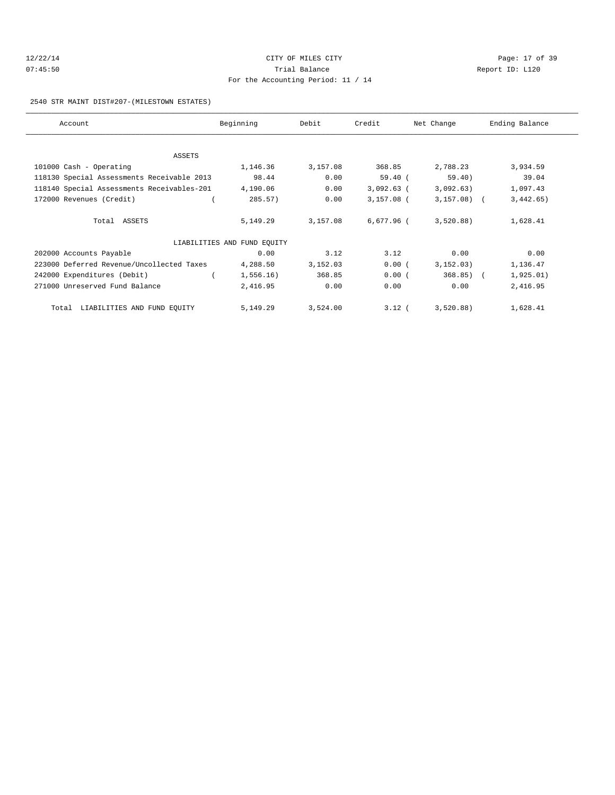## 12/22/14 Page: 17 of 39 07:45:50 Trial Balance Report ID: L120 For the Accounting Period: 11 / 14

### 2540 STR MAINT DIST#207-(MILESTOWN ESTATES)

| Account                                    | Beginning                   | Debit    | Credit       | Net Change   | Ending Balance |
|--------------------------------------------|-----------------------------|----------|--------------|--------------|----------------|
|                                            |                             |          |              |              |                |
| ASSETS                                     |                             |          |              |              |                |
| 101000 Cash - Operating                    | 1,146.36                    | 3,157.08 | 368.85       | 2,788.23     | 3,934.59       |
| 118130 Special Assessments Receivable 2013 | 98.44                       | 0.00     | 59.40(       | 59.40)       | 39.04          |
| 118140 Special Assessments Receivables-201 | 4,190.06                    | 0.00     | $3,092.63$ ( | 3,092.63)    | 1,097.43       |
| 172000 Revenues (Credit)                   | 285.57)                     | 0.00     | $3,157.08$ ( | $3,157.08$ ( | 3,442.65)      |
| Total ASSETS                               | 5,149.29                    | 3,157.08 | 6,677.96 (   | 3,520.88)    | 1,628.41       |
|                                            | LIABILITIES AND FUND EQUITY |          |              |              |                |
| 202000 Accounts Payable                    | 0.00                        | 3.12     | 3.12         | 0.00         | 0.00           |
| 223000 Deferred Revenue/Uncollected Taxes  | 4,288.50                    | 3,152.03 | 0.00(        | 3, 152.03)   | 1,136.47       |
| 242000 Expenditures (Debit)                | 1,556.16)                   | 368.85   | 0.00(        | $368.85$ ) ( | 1,925.01)      |
| 271000 Unreserved Fund Balance             | 2,416.95                    | 0.00     | 0.00         | 0.00         | 2,416.95       |
| Total LIABILITIES AND FUND EQUITY          | 5,149.29                    | 3,524.00 | $3.12$ (     | 3,520.88)    | 1,628.41       |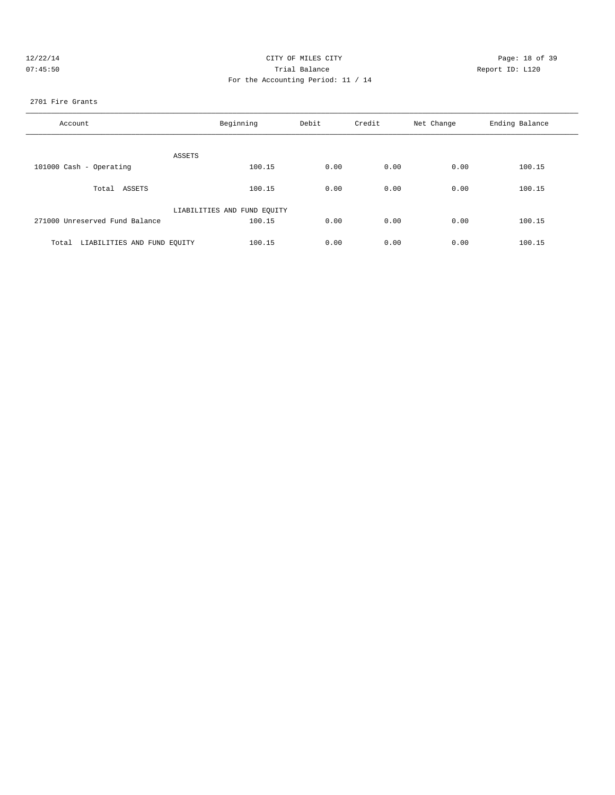| 12/22/1 | а |
|---------|---|
| 07:45:5 |   |

## CITY OF MILES CITY CONTROL CONTROL CONTROL CONTROL CONTROL PAGE: 18 of 39 07:45:50 **Trial Balance Constanting Trial Balance Report ID:** L120 For the Accounting Period: 11 / 14

### 2701 Fire Grants

| Account                              | Beginning                   | Debit | Credit | Net Change | Ending Balance |
|--------------------------------------|-----------------------------|-------|--------|------------|----------------|
| ASSETS                               |                             |       |        |            |                |
| 101000 Cash - Operating              | 100.15                      | 0.00  | 0.00   | 0.00       | 100.15         |
| Total ASSETS                         | 100.15                      | 0.00  | 0.00   | 0.00       | 100.15         |
|                                      | LIABILITIES AND FUND EQUITY |       |        |            |                |
| 271000 Unreserved Fund Balance       | 100.15                      | 0.00  | 0.00   | 0.00       | 100.15         |
| LIABILITIES AND FUND EOUITY<br>Total | 100.15                      | 0.00  | 0.00   | 0.00       | 100.15         |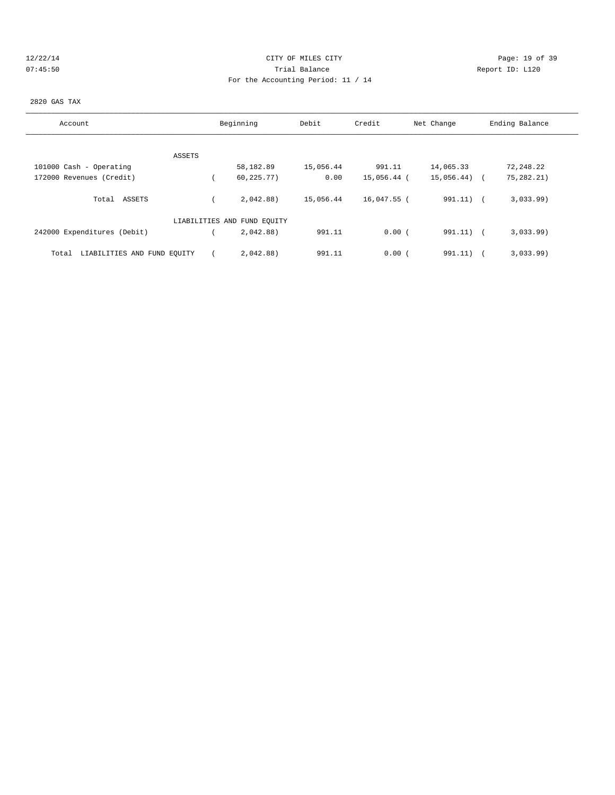## 12/22/14 Page: 19 of 39 07:45:50 Trial Balance Report ID: L120 For the Accounting Period: 11 / 14

### 2820 GAS TAX

| Account                              | Beginning                   | Debit     | Credit        | Net Change   | Ending Balance |
|--------------------------------------|-----------------------------|-----------|---------------|--------------|----------------|
|                                      |                             |           |               |              |                |
| ASSETS                               |                             |           |               |              |                |
| 101000 Cash - Operating              | 58,182.89                   | 15,056.44 | 991.11        | 14,065.33    | 72,248.22      |
| 172000 Revenues (Credit)             | 60, 225.77)                 | 0.00      | 15,056.44 (   | 15,056.44)   | 75,282.21)     |
| Total ASSETS                         | 2.042.88                    | 15,056.44 | $16,047.55$ ( | $991.11$ ) ( | 3,033.99       |
|                                      | LIABILITIES AND FUND EQUITY |           |               |              |                |
| 242000 Expenditures (Debit)          | 2,042.88)                   | 991.11    | 0.00(         | 991.11) (    | 3,033.99       |
| LIABILITIES AND FUND EQUITY<br>Total | 2,042.88)                   | 991.11    | 0.00(         | 991.11)      | 3,033.99       |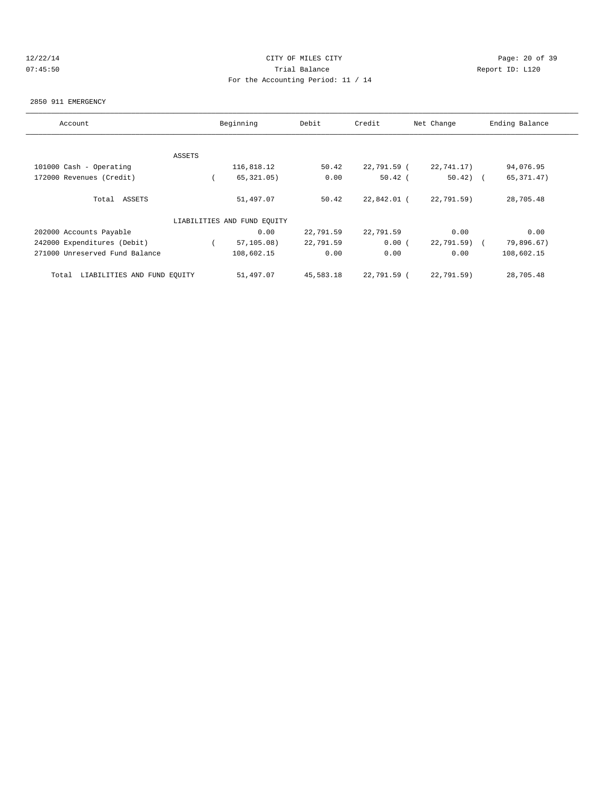## 12/22/14 Page: 20 of 39 07:45:50 Trial Balance Report ID: L120 For the Accounting Period: 11 / 14

#### 2850 911 EMERGENCY

| Account                              |        | Beginning                   | Debit     | Credit      | Net Change  | Ending Balance |
|--------------------------------------|--------|-----------------------------|-----------|-------------|-------------|----------------|
|                                      |        |                             |           |             |             |                |
|                                      | ASSETS |                             |           |             |             |                |
| 101000 Cash - Operating              |        | 116,818.12                  | 50.42     | 22,791.59 ( | 22,741.17)  | 94,076.95      |
| 172000 Revenues (Credit)             |        | 65, 321.05)                 | 0.00      | $50.42$ (   | $50.42$ ) ( | 65, 371.47)    |
| Total ASSETS                         |        | 51,497.07                   | 50.42     | 22,842.01 ( | 22,791.59)  | 28,705.48      |
|                                      |        | LIABILITIES AND FUND EQUITY |           |             |             |                |
| 202000 Accounts Payable              |        | 0.00                        | 22,791.59 | 22,791.59   | 0.00        | 0.00           |
| 242000 Expenditures (Debit)          |        | 57, 105.08)                 | 22,791.59 | 0.00(       | 22,791.59)  | 79,896.67)     |
| 271000 Unreserved Fund Balance       |        | 108,602.15                  | 0.00      | 0.00        | 0.00        | 108,602.15     |
| LIABILITIES AND FUND EQUITY<br>Total |        | 51,497.07                   | 45,583.18 | 22,791.59 ( | 22,791.59)  | 28,705.48      |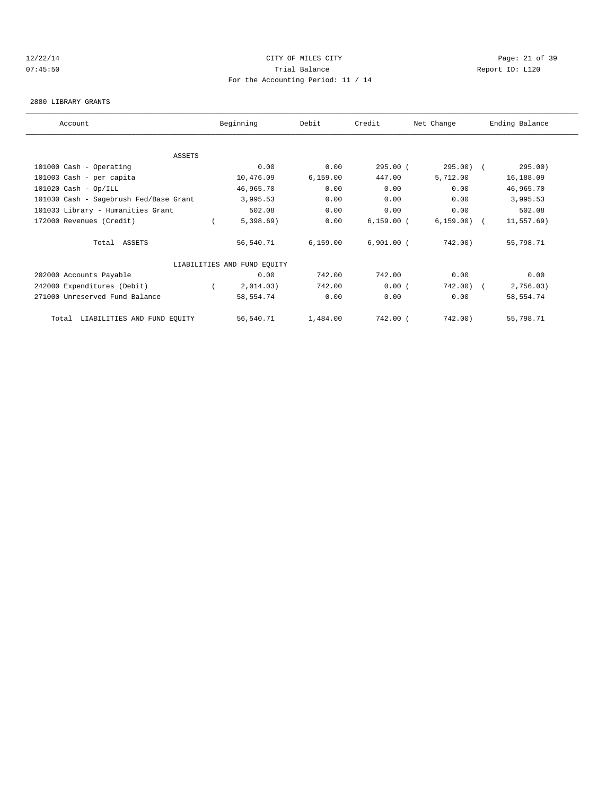## 12/22/14 Page: 21 of 39 07:45:50 Trial Balance Report ID: L120 For the Accounting Period: 11 / 14

### 2880 LIBRARY GRANTS

| Account                                | Beginning                   | Debit     | Credit       | Net Change   | Ending Balance |  |
|----------------------------------------|-----------------------------|-----------|--------------|--------------|----------------|--|
|                                        |                             |           |              |              |                |  |
| <b>ASSETS</b>                          |                             |           |              |              |                |  |
| 101000 Cash - Operating                | 0.00                        | 0.00      | $295.00$ (   | $295.00$ (   | 295.00)        |  |
| 101003 Cash - per capita               | 10,476.09                   | 6,159.00  | 447.00       | 5,712.00     | 16,188.09      |  |
| $101020$ Cash - Op/ILL                 | 46,965.70                   | 0.00      | 0.00         | 0.00         | 46,965.70      |  |
| 101030 Cash - Sagebrush Fed/Base Grant | 3,995.53                    | 0.00      | 0.00         | 0.00         | 3,995.53       |  |
| 101033 Library - Humanities Grant      | 502.08                      | 0.00      | 0.00         | 0.00         | 502.08         |  |
| 172000 Revenues (Credit)               | 5,398.69                    | 0.00      | $6,159.00$ ( | $6,159.00$ ( | $11, 557.69$ ) |  |
| Total ASSETS                           | 56,540.71                   | 6, 159.00 | $6,901.00$ ( | 742.00)      | 55,798.71      |  |
|                                        | LIABILITIES AND FUND EQUITY |           |              |              |                |  |
| 202000 Accounts Payable                | 0.00                        | 742.00    | 742.00       | 0.00         | 0.00           |  |
| 242000 Expenditures (Debit)            | 2,014.03)                   | 742.00    | 0.00(        | 742.00)      | 2,756.03)      |  |
| 271000 Unreserved Fund Balance         | 58,554.74                   | 0.00      | 0.00         | 0.00         | 58,554.74      |  |
| LIABILITIES AND FUND EQUITY<br>Total   | 56,540.71                   | 1,484.00  | 742.00 (     | 742.00)      | 55,798.71      |  |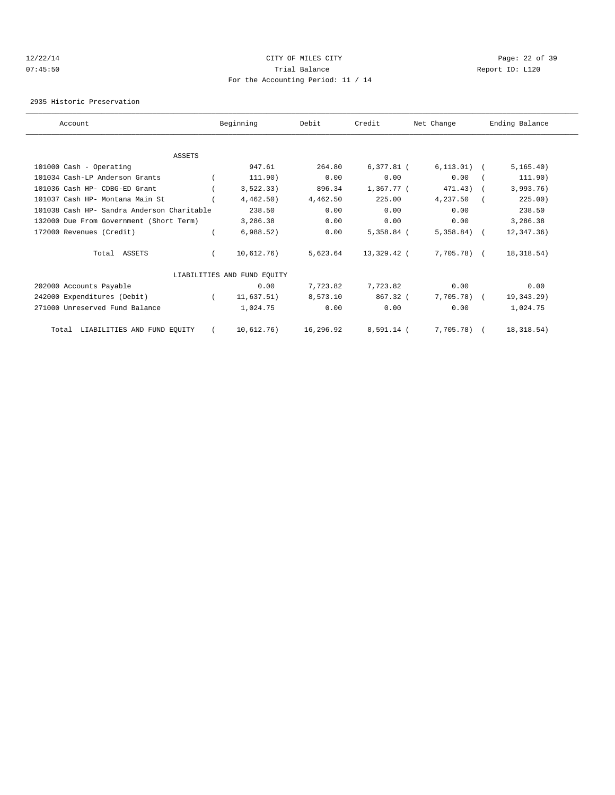## 12/22/14 Page: 22 of 39 07:45:50 Trial Balance Report ID: L120 For the Accounting Period: 11 / 14

2935 Historic Preservation

| Account                                    | Beginning                   | Debit     | Credit       | Net Change     | Ending Balance |  |
|--------------------------------------------|-----------------------------|-----------|--------------|----------------|----------------|--|
|                                            |                             |           |              |                |                |  |
| <b>ASSETS</b>                              |                             |           |              |                |                |  |
| 101000 Cash - Operating                    | 947.61                      | 264.80    | $6,377.81$ ( | $6,113.01)$ (  | 5, 165.40)     |  |
| 101034 Cash-LP Anderson Grants             | 111.90)                     | 0.00      | 0.00         | 0.00           | 111.90)        |  |
| 101036 Cash HP- CDBG-ED Grant              | 3,522.33)                   | 896.34    | 1,367.77 (   | 471.43)        | 3,993.76)      |  |
| 101037 Cash HP- Montana Main St            | 4,462.50)                   | 4,462.50  | 225.00       | 4,237.50       | 225.00)        |  |
| 101038 Cash HP- Sandra Anderson Charitable | 238.50                      | 0.00      | 0.00         | 0.00           | 238.50         |  |
| 132000 Due From Government (Short Term)    | 3,286.38                    | 0.00      | 0.00         | 0.00           | 3,286.38       |  |
| 172000 Revenues (Credit)                   | 6,988.52)                   | 0.00      | $5,358.84$ ( | $5,358.84$ ) ( | 12,347.36)     |  |
| Total ASSETS                               | 10,612.76)                  | 5,623.64  | 13,329.42 (  | 7,705.78) (    | 18,318.54)     |  |
|                                            | LIABILITIES AND FUND EQUITY |           |              |                |                |  |
| 202000 Accounts Payable                    | 0.00                        | 7,723.82  | 7,723.82     | 0.00           | 0.00           |  |
| 242000 Expenditures (Debit)                | 11,637.51)                  | 8,573.10  | $867.32$ (   | $7,705.78$ (   | 19,343.29)     |  |
| 271000 Unreserved Fund Balance             | 1,024.75                    | 0.00      | 0.00         | 0.00           | 1,024.75       |  |
| LIABILITIES AND FUND EQUITY<br>Total       | 10,612.76)                  | 16,296.92 | 8,591.14 (   | $7,705.78$ (   | 18,318.54)     |  |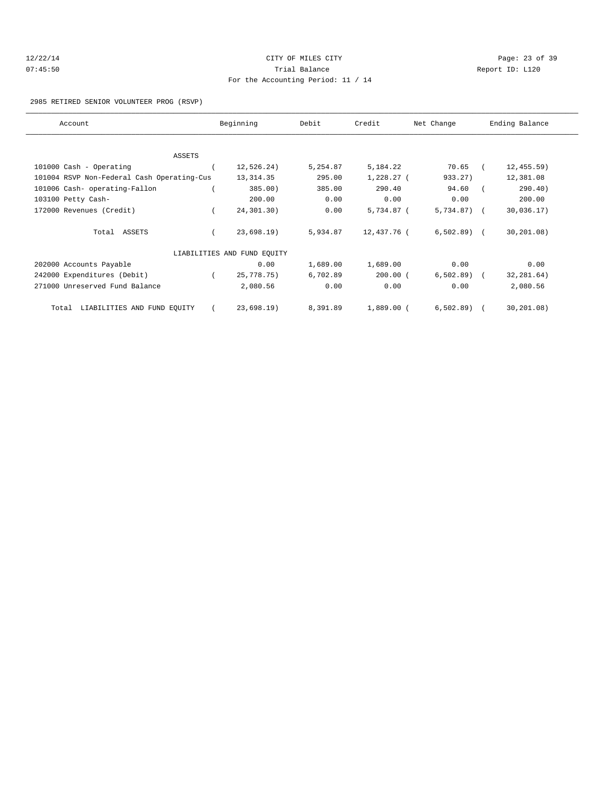| 12/22/14 |  |
|----------|--|
| 07:45:50 |  |

## CITY OF MILES CITY CONTROL CONTROL CONTROL CONTROL CONTROL PAGE: 23 of 39 Trial Balance and Communicated Report ID: L120 For the Accounting Period: 11 / 14

#### 2985 RETIRED SENIOR VOLUNTEER PROG (RSVP)

| Account                                    | Beginning                   | Debit    | Credit       | Net Change   | Ending Balance |  |
|--------------------------------------------|-----------------------------|----------|--------------|--------------|----------------|--|
|                                            |                             |          |              |              |                |  |
| ASSETS                                     |                             |          |              |              |                |  |
| 101000 Cash - Operating                    | 12,526.24)                  | 5,254.87 | 5,184.22     | 70.65        | 12, 455.59)    |  |
| 101004 RSVP Non-Federal Cash Operating-Cus | 13, 314.35                  | 295.00   | $1,228.27$ ( | 933.27)      | 12,381.08      |  |
| 101006 Cash- operating-Fallon              | 385.00)                     | 385.00   | 290.40       | 94.60        | 290.40)        |  |
| 103100 Petty Cash-                         | 200.00                      | 0.00     | 0.00         | 0.00         | 200.00         |  |
| 172000 Revenues (Credit)                   | 24,301.30)                  | 0.00     | $5,734.87$ ( | $5,734.87$ ( | 30,036.17)     |  |
| Total ASSETS                               | 23,698.19                   | 5,934.87 | 12,437.76 (  | $6,502.89$ ( | 30, 201.08)    |  |
|                                            | LIABILITIES AND FUND EQUITY |          |              |              |                |  |
| 202000 Accounts Payable                    | 0.00                        | 1,689.00 | 1,689.00     | 0.00         | 0.00           |  |
| 242000 Expenditures (Debit)                | 25,778.75)                  | 6,702.89 | $200.00$ (   | $6,502.89$ ( | 32, 281.64)    |  |
| 271000 Unreserved Fund Balance             | 2,080.56                    | 0.00     | 0.00         | 0.00         | 2,080.56       |  |
| LIABILITIES AND FUND EQUITY<br>Total       | 23,698.19)                  | 8,391.89 | $1,889.00$ ( | 6, 502.89)   | 30, 201, 08)   |  |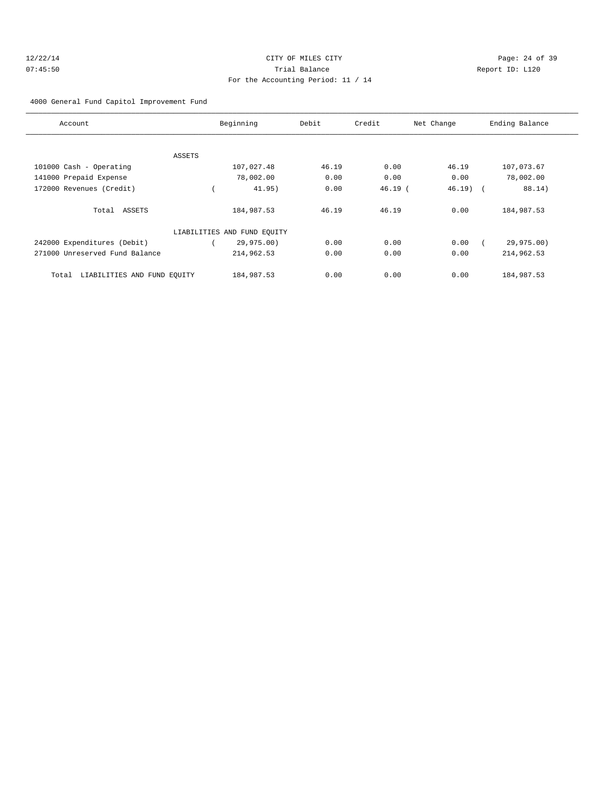## 12/22/14 Page: 24 of 39 07:45:50 Trial Balance Report ID: L120 For the Accounting Period: 11 / 14

4000 General Fund Capitol Improvement Fund

| Account                              | Beginning                   | Debit | Credit    | Net Change | Ending Balance |
|--------------------------------------|-----------------------------|-------|-----------|------------|----------------|
|                                      |                             |       |           |            |                |
| ASSETS                               |                             |       |           |            |                |
| 101000 Cash - Operating              | 107,027.48                  | 46.19 | 0.00      | 46.19      | 107,073.67     |
| 141000 Prepaid Expense               | 78,002.00                   | 0.00  | 0.00      | 0.00       | 78,002.00      |
| 172000 Revenues (Credit)             | 41.95)                      | 0.00  | $46.19$ ( | $46.19$ (  | 88.14)         |
| Total ASSETS                         | 184,987.53                  | 46.19 | 46.19     | 0.00       | 184,987.53     |
|                                      | LIABILITIES AND FUND EQUITY |       |           |            |                |
| 242000 Expenditures (Debit)          | 29,975.00)                  | 0.00  | 0.00      | 0.00       | 29,975.00)     |
| 271000 Unreserved Fund Balance       | 214,962.53                  | 0.00  | 0.00      | 0.00       | 214,962.53     |
| LIABILITIES AND FUND EQUITY<br>Total | 184,987.53                  | 0.00  | 0.00      | 0.00       | 184,987.53     |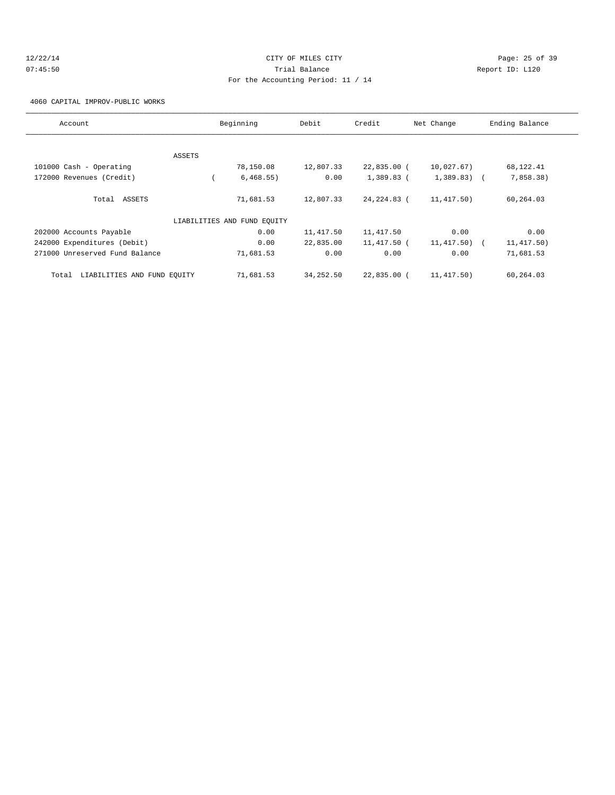## 12/22/14 Page: 25 of 39 07:45:50 Trial Balance Report ID: L120 For the Accounting Period: 11 / 14

4060 CAPITAL IMPROV-PUBLIC WORKS

| Account                              | Beginning                   | Debit     | Credit      | Net Change     | Ending Balance |
|--------------------------------------|-----------------------------|-----------|-------------|----------------|----------------|
|                                      |                             |           |             |                |                |
|                                      | ASSETS                      |           |             |                |                |
| 101000 Cash - Operating              | 78,150.08                   | 12,807.33 | 22,835.00 ( | 10,027.67)     | 68,122.41      |
| 172000 Revenues (Credit)             | 6,468.55)                   | 0.00      | 1,389.83 (  | $1,389.83$ ) ( | 7,858.38)      |
| Total ASSETS                         | 71,681.53                   | 12,807.33 | 24,224.83 ( | 11,417.50)     | 60,264.03      |
|                                      | LIABILITIES AND FUND EOUITY |           |             |                |                |
| 202000 Accounts Payable              | 0.00                        | 11,417.50 | 11, 417.50  | 0.00           | 0.00           |
| 242000 Expenditures (Debit)          | 0.00                        | 22,835.00 | 11,417.50 ( | 11,417.50) (   | 11,417.50)     |
| 271000 Unreserved Fund Balance       | 71,681.53                   | 0.00      | 0.00        | 0.00           | 71,681.53      |
| LIABILITIES AND FUND EQUITY<br>Total | 71,681.53                   | 34,252.50 | 22,835.00 ( | 11,417.50)     | 60,264.03      |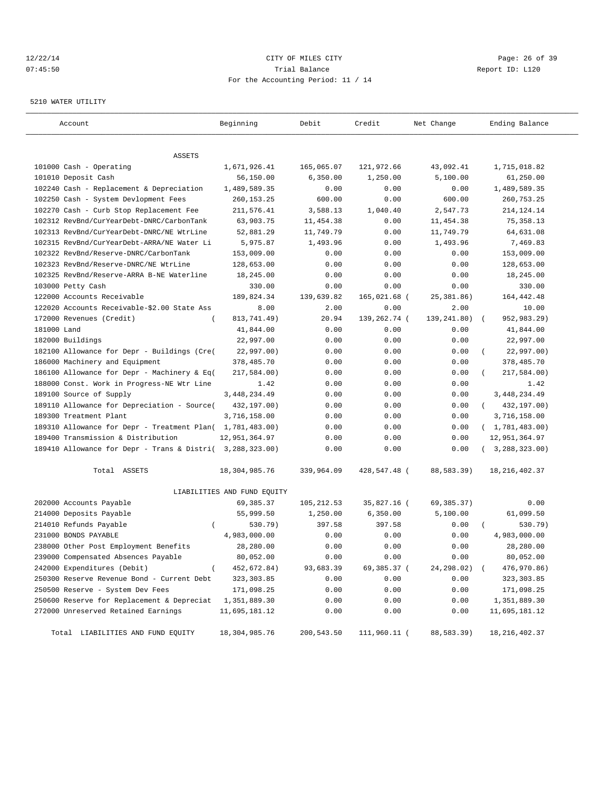### 12/22/14 Page: 26 of 39 07:45:50 Trial Balance Report ID: L120 For the Accounting Period: 11 / 14

#### 5210 WATER UTILITY

| ASSETS<br>101000 Cash - Operating<br>1,671,926.41<br>165,065.07<br>121,972.66<br>43,092.41<br>1,715,018.82<br>101010 Deposit Cash<br>56,150.00<br>1,250.00<br>5,100.00<br>61,250.00<br>6,350.00<br>102240 Cash - Replacement & Depreciation<br>1,489,589.35<br>0.00<br>1,489,589.35<br>0.00<br>0.00<br>102250 Cash - System Devlopment Fees<br>260, 153. 25<br>600.00<br>260,753.25<br>600.00<br>0.00<br>102270 Cash - Curb Stop Replacement Fee<br>211,576.41<br>3,588.13<br>1,040.40<br>2,547.73<br>214, 124. 14<br>102312 RevBnd/CurYearDebt-DNRC/CarbonTank<br>63,903.75<br>11,454.38<br>0.00<br>11,454.38<br>75, 358.13<br>52,881.29<br>11,749.79<br>0.00<br>11,749.79<br>64,631.08<br>102313 RevBnd/CurYearDebt-DNRC/NE WtrLine<br>5,975.87<br>1,493.96<br>0.00<br>1,493.96<br>7,469.83<br>102315 RevBnd/CurYearDebt-ARRA/NE Water Li<br>153,009.00<br>153,009.00<br>102322 RevBnd/Reserve-DNRC/CarbonTank<br>0.00<br>0.00<br>0.00<br>102323 RevBnd/Reserve-DNRC/NE WtrLine<br>128,653.00<br>0.00<br>128,653.00<br>0.00<br>0.00<br>102325 RevBnd/Reserve-ARRA B-NE Waterline<br>18,245.00<br>0.00<br>0.00<br>0.00<br>18,245.00<br>330.00<br>0.00<br>0.00<br>330.00<br>103000 Petty Cash<br>0.00<br>189,824.34<br>139,639.82<br>165,021.68 (<br>25, 381.86)<br>164, 442. 48<br>122000 Accounts Receivable<br>122020 Accounts Receivable-\$2.00 State Ass<br>8.00<br>0.00<br>2.00<br>10.00<br>2.00<br>172000 Revenues (Credit)<br>813,741.49)<br>139,262.74 (<br>139,241.80)<br>952,983.29)<br>20.94<br>$\overline{ }$<br>$\left($<br>181000 Land<br>41,844.00<br>0.00<br>0.00<br>0.00<br>41,844.00<br>182000 Buildings<br>22,997.00<br>0.00<br>0.00<br>0.00<br>22,997.00<br>182100 Allowance for Depr - Buildings (Cre(<br>22,997.00)<br>0.00<br>0.00<br>0.00<br>22,997.00)<br>186000 Machinery and Equipment<br>378,485.70<br>0.00<br>378,485.70<br>0.00<br>0.00<br>186100 Allowance for Depr - Machinery & Eq(<br>217,584.00)<br>217,584.00)<br>0.00<br>0.00<br>0.00<br>188000 Const. Work in Progress-NE Wtr Line<br>1.42<br>0.00<br>0.00<br>0.00<br>1.42<br>189100 Source of Supply<br>3, 448, 234.49<br>3, 448, 234.49<br>0.00<br>0.00<br>0.00<br>189110 Allowance for Depreciation - Source(<br>432,197.00)<br>0.00<br>0.00<br>0.00<br>432,197.00)<br>$\left($<br>189300 Treatment Plant<br>3,716,158.00<br>3,716,158.00<br>0.00<br>0.00<br>0.00<br>189310 Allowance for Depr - Treatment Plan( 1,781,483.00)<br>0.00<br>(1, 781, 483.00)<br>0.00<br>0.00<br>189400 Transmission & Distribution<br>12,951,364.97<br>0.00<br>0.00<br>0.00<br>12,951,364.97<br>189410 Allowance for Depr - Trans & Distri( 3,288,323.00)<br>0.00<br>0.00<br>(3, 288, 323.00)<br>0.00<br>Total ASSETS<br>18,304,985.76<br>339,964.09<br>428,547.48 (<br>88,583.39)<br>18, 216, 402.37<br>LIABILITIES AND FUND EQUITY<br>202000 Accounts Payable<br>69,385.37<br>35,827.16 (<br>69,385.37)<br>0.00<br>105,212.53<br>214000 Deposits Payable<br>55,999.50<br>1,250.00<br>6,350.00<br>5,100.00<br>61,099.50<br>214010 Refunds Payable<br>530.79)<br>397.58<br>397.58<br>530.79)<br>$\left($ |
|----------------------------------------------------------------------------------------------------------------------------------------------------------------------------------------------------------------------------------------------------------------------------------------------------------------------------------------------------------------------------------------------------------------------------------------------------------------------------------------------------------------------------------------------------------------------------------------------------------------------------------------------------------------------------------------------------------------------------------------------------------------------------------------------------------------------------------------------------------------------------------------------------------------------------------------------------------------------------------------------------------------------------------------------------------------------------------------------------------------------------------------------------------------------------------------------------------------------------------------------------------------------------------------------------------------------------------------------------------------------------------------------------------------------------------------------------------------------------------------------------------------------------------------------------------------------------------------------------------------------------------------------------------------------------------------------------------------------------------------------------------------------------------------------------------------------------------------------------------------------------------------------------------------------------------------------------------------------------------------------------------------------------------------------------------------------------------------------------------------------------------------------------------------------------------------------------------------------------------------------------------------------------------------------------------------------------------------------------------------------------------------------------------------------------------------------------------------------------------------------------------------------------------------------------------------------------------------------------------------------------------------------------------------------------------------------------------------------------------------------------------------------------------------------------------------------------------------------------------------------------------------------------------------------------------------------------------------------------------------------------------------------------------------------------------------------------------|
|                                                                                                                                                                                                                                                                                                                                                                                                                                                                                                                                                                                                                                                                                                                                                                                                                                                                                                                                                                                                                                                                                                                                                                                                                                                                                                                                                                                                                                                                                                                                                                                                                                                                                                                                                                                                                                                                                                                                                                                                                                                                                                                                                                                                                                                                                                                                                                                                                                                                                                                                                                                                                                                                                                                                                                                                                                                                                                                                                                                                                                                                                  |
|                                                                                                                                                                                                                                                                                                                                                                                                                                                                                                                                                                                                                                                                                                                                                                                                                                                                                                                                                                                                                                                                                                                                                                                                                                                                                                                                                                                                                                                                                                                                                                                                                                                                                                                                                                                                                                                                                                                                                                                                                                                                                                                                                                                                                                                                                                                                                                                                                                                                                                                                                                                                                                                                                                                                                                                                                                                                                                                                                                                                                                                                                  |
|                                                                                                                                                                                                                                                                                                                                                                                                                                                                                                                                                                                                                                                                                                                                                                                                                                                                                                                                                                                                                                                                                                                                                                                                                                                                                                                                                                                                                                                                                                                                                                                                                                                                                                                                                                                                                                                                                                                                                                                                                                                                                                                                                                                                                                                                                                                                                                                                                                                                                                                                                                                                                                                                                                                                                                                                                                                                                                                                                                                                                                                                                  |
|                                                                                                                                                                                                                                                                                                                                                                                                                                                                                                                                                                                                                                                                                                                                                                                                                                                                                                                                                                                                                                                                                                                                                                                                                                                                                                                                                                                                                                                                                                                                                                                                                                                                                                                                                                                                                                                                                                                                                                                                                                                                                                                                                                                                                                                                                                                                                                                                                                                                                                                                                                                                                                                                                                                                                                                                                                                                                                                                                                                                                                                                                  |
|                                                                                                                                                                                                                                                                                                                                                                                                                                                                                                                                                                                                                                                                                                                                                                                                                                                                                                                                                                                                                                                                                                                                                                                                                                                                                                                                                                                                                                                                                                                                                                                                                                                                                                                                                                                                                                                                                                                                                                                                                                                                                                                                                                                                                                                                                                                                                                                                                                                                                                                                                                                                                                                                                                                                                                                                                                                                                                                                                                                                                                                                                  |
|                                                                                                                                                                                                                                                                                                                                                                                                                                                                                                                                                                                                                                                                                                                                                                                                                                                                                                                                                                                                                                                                                                                                                                                                                                                                                                                                                                                                                                                                                                                                                                                                                                                                                                                                                                                                                                                                                                                                                                                                                                                                                                                                                                                                                                                                                                                                                                                                                                                                                                                                                                                                                                                                                                                                                                                                                                                                                                                                                                                                                                                                                  |
|                                                                                                                                                                                                                                                                                                                                                                                                                                                                                                                                                                                                                                                                                                                                                                                                                                                                                                                                                                                                                                                                                                                                                                                                                                                                                                                                                                                                                                                                                                                                                                                                                                                                                                                                                                                                                                                                                                                                                                                                                                                                                                                                                                                                                                                                                                                                                                                                                                                                                                                                                                                                                                                                                                                                                                                                                                                                                                                                                                                                                                                                                  |
|                                                                                                                                                                                                                                                                                                                                                                                                                                                                                                                                                                                                                                                                                                                                                                                                                                                                                                                                                                                                                                                                                                                                                                                                                                                                                                                                                                                                                                                                                                                                                                                                                                                                                                                                                                                                                                                                                                                                                                                                                                                                                                                                                                                                                                                                                                                                                                                                                                                                                                                                                                                                                                                                                                                                                                                                                                                                                                                                                                                                                                                                                  |
|                                                                                                                                                                                                                                                                                                                                                                                                                                                                                                                                                                                                                                                                                                                                                                                                                                                                                                                                                                                                                                                                                                                                                                                                                                                                                                                                                                                                                                                                                                                                                                                                                                                                                                                                                                                                                                                                                                                                                                                                                                                                                                                                                                                                                                                                                                                                                                                                                                                                                                                                                                                                                                                                                                                                                                                                                                                                                                                                                                                                                                                                                  |
|                                                                                                                                                                                                                                                                                                                                                                                                                                                                                                                                                                                                                                                                                                                                                                                                                                                                                                                                                                                                                                                                                                                                                                                                                                                                                                                                                                                                                                                                                                                                                                                                                                                                                                                                                                                                                                                                                                                                                                                                                                                                                                                                                                                                                                                                                                                                                                                                                                                                                                                                                                                                                                                                                                                                                                                                                                                                                                                                                                                                                                                                                  |
|                                                                                                                                                                                                                                                                                                                                                                                                                                                                                                                                                                                                                                                                                                                                                                                                                                                                                                                                                                                                                                                                                                                                                                                                                                                                                                                                                                                                                                                                                                                                                                                                                                                                                                                                                                                                                                                                                                                                                                                                                                                                                                                                                                                                                                                                                                                                                                                                                                                                                                                                                                                                                                                                                                                                                                                                                                                                                                                                                                                                                                                                                  |
|                                                                                                                                                                                                                                                                                                                                                                                                                                                                                                                                                                                                                                                                                                                                                                                                                                                                                                                                                                                                                                                                                                                                                                                                                                                                                                                                                                                                                                                                                                                                                                                                                                                                                                                                                                                                                                                                                                                                                                                                                                                                                                                                                                                                                                                                                                                                                                                                                                                                                                                                                                                                                                                                                                                                                                                                                                                                                                                                                                                                                                                                                  |
|                                                                                                                                                                                                                                                                                                                                                                                                                                                                                                                                                                                                                                                                                                                                                                                                                                                                                                                                                                                                                                                                                                                                                                                                                                                                                                                                                                                                                                                                                                                                                                                                                                                                                                                                                                                                                                                                                                                                                                                                                                                                                                                                                                                                                                                                                                                                                                                                                                                                                                                                                                                                                                                                                                                                                                                                                                                                                                                                                                                                                                                                                  |
|                                                                                                                                                                                                                                                                                                                                                                                                                                                                                                                                                                                                                                                                                                                                                                                                                                                                                                                                                                                                                                                                                                                                                                                                                                                                                                                                                                                                                                                                                                                                                                                                                                                                                                                                                                                                                                                                                                                                                                                                                                                                                                                                                                                                                                                                                                                                                                                                                                                                                                                                                                                                                                                                                                                                                                                                                                                                                                                                                                                                                                                                                  |
|                                                                                                                                                                                                                                                                                                                                                                                                                                                                                                                                                                                                                                                                                                                                                                                                                                                                                                                                                                                                                                                                                                                                                                                                                                                                                                                                                                                                                                                                                                                                                                                                                                                                                                                                                                                                                                                                                                                                                                                                                                                                                                                                                                                                                                                                                                                                                                                                                                                                                                                                                                                                                                                                                                                                                                                                                                                                                                                                                                                                                                                                                  |
|                                                                                                                                                                                                                                                                                                                                                                                                                                                                                                                                                                                                                                                                                                                                                                                                                                                                                                                                                                                                                                                                                                                                                                                                                                                                                                                                                                                                                                                                                                                                                                                                                                                                                                                                                                                                                                                                                                                                                                                                                                                                                                                                                                                                                                                                                                                                                                                                                                                                                                                                                                                                                                                                                                                                                                                                                                                                                                                                                                                                                                                                                  |
|                                                                                                                                                                                                                                                                                                                                                                                                                                                                                                                                                                                                                                                                                                                                                                                                                                                                                                                                                                                                                                                                                                                                                                                                                                                                                                                                                                                                                                                                                                                                                                                                                                                                                                                                                                                                                                                                                                                                                                                                                                                                                                                                                                                                                                                                                                                                                                                                                                                                                                                                                                                                                                                                                                                                                                                                                                                                                                                                                                                                                                                                                  |
|                                                                                                                                                                                                                                                                                                                                                                                                                                                                                                                                                                                                                                                                                                                                                                                                                                                                                                                                                                                                                                                                                                                                                                                                                                                                                                                                                                                                                                                                                                                                                                                                                                                                                                                                                                                                                                                                                                                                                                                                                                                                                                                                                                                                                                                                                                                                                                                                                                                                                                                                                                                                                                                                                                                                                                                                                                                                                                                                                                                                                                                                                  |
|                                                                                                                                                                                                                                                                                                                                                                                                                                                                                                                                                                                                                                                                                                                                                                                                                                                                                                                                                                                                                                                                                                                                                                                                                                                                                                                                                                                                                                                                                                                                                                                                                                                                                                                                                                                                                                                                                                                                                                                                                                                                                                                                                                                                                                                                                                                                                                                                                                                                                                                                                                                                                                                                                                                                                                                                                                                                                                                                                                                                                                                                                  |
|                                                                                                                                                                                                                                                                                                                                                                                                                                                                                                                                                                                                                                                                                                                                                                                                                                                                                                                                                                                                                                                                                                                                                                                                                                                                                                                                                                                                                                                                                                                                                                                                                                                                                                                                                                                                                                                                                                                                                                                                                                                                                                                                                                                                                                                                                                                                                                                                                                                                                                                                                                                                                                                                                                                                                                                                                                                                                                                                                                                                                                                                                  |
|                                                                                                                                                                                                                                                                                                                                                                                                                                                                                                                                                                                                                                                                                                                                                                                                                                                                                                                                                                                                                                                                                                                                                                                                                                                                                                                                                                                                                                                                                                                                                                                                                                                                                                                                                                                                                                                                                                                                                                                                                                                                                                                                                                                                                                                                                                                                                                                                                                                                                                                                                                                                                                                                                                                                                                                                                                                                                                                                                                                                                                                                                  |
|                                                                                                                                                                                                                                                                                                                                                                                                                                                                                                                                                                                                                                                                                                                                                                                                                                                                                                                                                                                                                                                                                                                                                                                                                                                                                                                                                                                                                                                                                                                                                                                                                                                                                                                                                                                                                                                                                                                                                                                                                                                                                                                                                                                                                                                                                                                                                                                                                                                                                                                                                                                                                                                                                                                                                                                                                                                                                                                                                                                                                                                                                  |
|                                                                                                                                                                                                                                                                                                                                                                                                                                                                                                                                                                                                                                                                                                                                                                                                                                                                                                                                                                                                                                                                                                                                                                                                                                                                                                                                                                                                                                                                                                                                                                                                                                                                                                                                                                                                                                                                                                                                                                                                                                                                                                                                                                                                                                                                                                                                                                                                                                                                                                                                                                                                                                                                                                                                                                                                                                                                                                                                                                                                                                                                                  |
|                                                                                                                                                                                                                                                                                                                                                                                                                                                                                                                                                                                                                                                                                                                                                                                                                                                                                                                                                                                                                                                                                                                                                                                                                                                                                                                                                                                                                                                                                                                                                                                                                                                                                                                                                                                                                                                                                                                                                                                                                                                                                                                                                                                                                                                                                                                                                                                                                                                                                                                                                                                                                                                                                                                                                                                                                                                                                                                                                                                                                                                                                  |
|                                                                                                                                                                                                                                                                                                                                                                                                                                                                                                                                                                                                                                                                                                                                                                                                                                                                                                                                                                                                                                                                                                                                                                                                                                                                                                                                                                                                                                                                                                                                                                                                                                                                                                                                                                                                                                                                                                                                                                                                                                                                                                                                                                                                                                                                                                                                                                                                                                                                                                                                                                                                                                                                                                                                                                                                                                                                                                                                                                                                                                                                                  |
|                                                                                                                                                                                                                                                                                                                                                                                                                                                                                                                                                                                                                                                                                                                                                                                                                                                                                                                                                                                                                                                                                                                                                                                                                                                                                                                                                                                                                                                                                                                                                                                                                                                                                                                                                                                                                                                                                                                                                                                                                                                                                                                                                                                                                                                                                                                                                                                                                                                                                                                                                                                                                                                                                                                                                                                                                                                                                                                                                                                                                                                                                  |
|                                                                                                                                                                                                                                                                                                                                                                                                                                                                                                                                                                                                                                                                                                                                                                                                                                                                                                                                                                                                                                                                                                                                                                                                                                                                                                                                                                                                                                                                                                                                                                                                                                                                                                                                                                                                                                                                                                                                                                                                                                                                                                                                                                                                                                                                                                                                                                                                                                                                                                                                                                                                                                                                                                                                                                                                                                                                                                                                                                                                                                                                                  |
|                                                                                                                                                                                                                                                                                                                                                                                                                                                                                                                                                                                                                                                                                                                                                                                                                                                                                                                                                                                                                                                                                                                                                                                                                                                                                                                                                                                                                                                                                                                                                                                                                                                                                                                                                                                                                                                                                                                                                                                                                                                                                                                                                                                                                                                                                                                                                                                                                                                                                                                                                                                                                                                                                                                                                                                                                                                                                                                                                                                                                                                                                  |
|                                                                                                                                                                                                                                                                                                                                                                                                                                                                                                                                                                                                                                                                                                                                                                                                                                                                                                                                                                                                                                                                                                                                                                                                                                                                                                                                                                                                                                                                                                                                                                                                                                                                                                                                                                                                                                                                                                                                                                                                                                                                                                                                                                                                                                                                                                                                                                                                                                                                                                                                                                                                                                                                                                                                                                                                                                                                                                                                                                                                                                                                                  |
|                                                                                                                                                                                                                                                                                                                                                                                                                                                                                                                                                                                                                                                                                                                                                                                                                                                                                                                                                                                                                                                                                                                                                                                                                                                                                                                                                                                                                                                                                                                                                                                                                                                                                                                                                                                                                                                                                                                                                                                                                                                                                                                                                                                                                                                                                                                                                                                                                                                                                                                                                                                                                                                                                                                                                                                                                                                                                                                                                                                                                                                                                  |
|                                                                                                                                                                                                                                                                                                                                                                                                                                                                                                                                                                                                                                                                                                                                                                                                                                                                                                                                                                                                                                                                                                                                                                                                                                                                                                                                                                                                                                                                                                                                                                                                                                                                                                                                                                                                                                                                                                                                                                                                                                                                                                                                                                                                                                                                                                                                                                                                                                                                                                                                                                                                                                                                                                                                                                                                                                                                                                                                                                                                                                                                                  |
|                                                                                                                                                                                                                                                                                                                                                                                                                                                                                                                                                                                                                                                                                                                                                                                                                                                                                                                                                                                                                                                                                                                                                                                                                                                                                                                                                                                                                                                                                                                                                                                                                                                                                                                                                                                                                                                                                                                                                                                                                                                                                                                                                                                                                                                                                                                                                                                                                                                                                                                                                                                                                                                                                                                                                                                                                                                                                                                                                                                                                                                                                  |
|                                                                                                                                                                                                                                                                                                                                                                                                                                                                                                                                                                                                                                                                                                                                                                                                                                                                                                                                                                                                                                                                                                                                                                                                                                                                                                                                                                                                                                                                                                                                                                                                                                                                                                                                                                                                                                                                                                                                                                                                                                                                                                                                                                                                                                                                                                                                                                                                                                                                                                                                                                                                                                                                                                                                                                                                                                                                                                                                                                                                                                                                                  |
| 0.00                                                                                                                                                                                                                                                                                                                                                                                                                                                                                                                                                                                                                                                                                                                                                                                                                                                                                                                                                                                                                                                                                                                                                                                                                                                                                                                                                                                                                                                                                                                                                                                                                                                                                                                                                                                                                                                                                                                                                                                                                                                                                                                                                                                                                                                                                                                                                                                                                                                                                                                                                                                                                                                                                                                                                                                                                                                                                                                                                                                                                                                                             |
| 231000 BONDS PAYABLE<br>4,983,000.00<br>4,983,000.00<br>0.00<br>0.00<br>0.00                                                                                                                                                                                                                                                                                                                                                                                                                                                                                                                                                                                                                                                                                                                                                                                                                                                                                                                                                                                                                                                                                                                                                                                                                                                                                                                                                                                                                                                                                                                                                                                                                                                                                                                                                                                                                                                                                                                                                                                                                                                                                                                                                                                                                                                                                                                                                                                                                                                                                                                                                                                                                                                                                                                                                                                                                                                                                                                                                                                                     |
| 28,280.00<br>238000 Other Post Employment Benefits<br>28,280.00<br>0.00<br>0.00<br>0.00                                                                                                                                                                                                                                                                                                                                                                                                                                                                                                                                                                                                                                                                                                                                                                                                                                                                                                                                                                                                                                                                                                                                                                                                                                                                                                                                                                                                                                                                                                                                                                                                                                                                                                                                                                                                                                                                                                                                                                                                                                                                                                                                                                                                                                                                                                                                                                                                                                                                                                                                                                                                                                                                                                                                                                                                                                                                                                                                                                                          |
| 239000 Compensated Absences Payable<br>80,052.00<br>0.00<br>0.00<br>0.00<br>80,052.00                                                                                                                                                                                                                                                                                                                                                                                                                                                                                                                                                                                                                                                                                                                                                                                                                                                                                                                                                                                                                                                                                                                                                                                                                                                                                                                                                                                                                                                                                                                                                                                                                                                                                                                                                                                                                                                                                                                                                                                                                                                                                                                                                                                                                                                                                                                                                                                                                                                                                                                                                                                                                                                                                                                                                                                                                                                                                                                                                                                            |
| 242000 Expenditures (Debit)<br>452,672.84)<br>93,683.39<br>69,385.37 (<br>24,298.02) (<br>476,970.86)<br>$\left($                                                                                                                                                                                                                                                                                                                                                                                                                                                                                                                                                                                                                                                                                                                                                                                                                                                                                                                                                                                                                                                                                                                                                                                                                                                                                                                                                                                                                                                                                                                                                                                                                                                                                                                                                                                                                                                                                                                                                                                                                                                                                                                                                                                                                                                                                                                                                                                                                                                                                                                                                                                                                                                                                                                                                                                                                                                                                                                                                                |
| 250300 Reserve Revenue Bond - Current Debt<br>323, 303.85<br>0.00<br>0.00<br>0.00<br>323, 303.85                                                                                                                                                                                                                                                                                                                                                                                                                                                                                                                                                                                                                                                                                                                                                                                                                                                                                                                                                                                                                                                                                                                                                                                                                                                                                                                                                                                                                                                                                                                                                                                                                                                                                                                                                                                                                                                                                                                                                                                                                                                                                                                                                                                                                                                                                                                                                                                                                                                                                                                                                                                                                                                                                                                                                                                                                                                                                                                                                                                 |
| 250500 Reserve - System Dev Fees<br>0.00<br>171,098.25<br>0.00<br>0.00<br>171,098.25                                                                                                                                                                                                                                                                                                                                                                                                                                                                                                                                                                                                                                                                                                                                                                                                                                                                                                                                                                                                                                                                                                                                                                                                                                                                                                                                                                                                                                                                                                                                                                                                                                                                                                                                                                                                                                                                                                                                                                                                                                                                                                                                                                                                                                                                                                                                                                                                                                                                                                                                                                                                                                                                                                                                                                                                                                                                                                                                                                                             |
| 250600 Reserve for Replacement & Depreciat<br>1,351,889.30<br>0.00<br>0.00<br>0.00<br>1,351,889.30                                                                                                                                                                                                                                                                                                                                                                                                                                                                                                                                                                                                                                                                                                                                                                                                                                                                                                                                                                                                                                                                                                                                                                                                                                                                                                                                                                                                                                                                                                                                                                                                                                                                                                                                                                                                                                                                                                                                                                                                                                                                                                                                                                                                                                                                                                                                                                                                                                                                                                                                                                                                                                                                                                                                                                                                                                                                                                                                                                               |
| 272000 Unreserved Retained Earnings<br>0.00<br>0.00<br>11,695,181.12<br>0.00<br>11,695,181.12                                                                                                                                                                                                                                                                                                                                                                                                                                                                                                                                                                                                                                                                                                                                                                                                                                                                                                                                                                                                                                                                                                                                                                                                                                                                                                                                                                                                                                                                                                                                                                                                                                                                                                                                                                                                                                                                                                                                                                                                                                                                                                                                                                                                                                                                                                                                                                                                                                                                                                                                                                                                                                                                                                                                                                                                                                                                                                                                                                                    |
| 88,583.39)<br>Total LIABILITIES AND FUND EQUITY<br>18,304,985.76<br>200,543.50<br>111,960.11 (<br>18, 216, 402.37                                                                                                                                                                                                                                                                                                                                                                                                                                                                                                                                                                                                                                                                                                                                                                                                                                                                                                                                                                                                                                                                                                                                                                                                                                                                                                                                                                                                                                                                                                                                                                                                                                                                                                                                                                                                                                                                                                                                                                                                                                                                                                                                                                                                                                                                                                                                                                                                                                                                                                                                                                                                                                                                                                                                                                                                                                                                                                                                                                |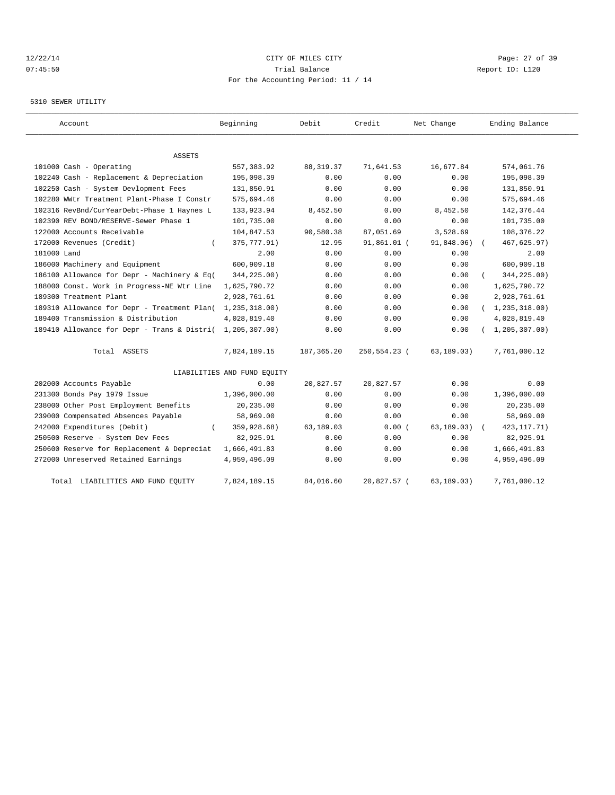## 12/22/14 Page: 27 of 39 07:45:50 Trial Balance Report ID: L120 For the Accounting Period: 11 / 14

### 5310 SEWER UTILITY

| Account                                     | Beginning                   | Debit       | Credit       | Net Change  | Ending Balance   |
|---------------------------------------------|-----------------------------|-------------|--------------|-------------|------------------|
|                                             |                             |             |              |             |                  |
| ASSETS<br>101000 Cash - Operating           | 557, 383.92                 | 88, 319. 37 | 71,641.53    | 16,677.84   | 574,061.76       |
| 102240 Cash - Replacement & Depreciation    | 195,098.39                  | 0.00        | 0.00         | 0.00        | 195,098.39       |
| 102250 Cash - System Devlopment Fees        | 131,850.91                  | 0.00        | 0.00         | 0.00        | 131,850.91       |
| 102280 WWtr Treatment Plant-Phase I Constr  | 575,694.46                  | 0.00        | 0.00         | 0.00        | 575,694.46       |
| 102316 RevBnd/CurYearDebt-Phase 1 Haynes L  | 133,923.94                  | 8,452.50    | 0.00         | 8,452.50    | 142,376.44       |
| 102390 REV BOND/RESERVE-Sewer Phase 1       | 101,735.00                  | 0.00        | 0.00         | 0.00        | 101,735.00       |
| 122000 Accounts Receivable                  | 104,847.53                  | 90,580.38   | 87,051.69    | 3,528.69    | 108,376.22       |
| 172000 Revenues (Credit)                    | 375,777.91)                 | 12.95       | 91,861.01 (  | 91,848.06)  | 467,625.97)      |
| 181000 Land                                 | 2.00                        | 0.00        |              |             | 2.00             |
|                                             |                             |             | 0.00         | 0.00        |                  |
| 186000 Machinery and Equipment              | 600,909.18                  | 0.00        | 0.00         | 0.00        | 600,909.18       |
| 186100 Allowance for Depr - Machinery & Eq( | 344,225.00)                 | 0.00        | 0.00         | 0.00        | 344,225.00)      |
| 188000 Const. Work in Progress-NE Wtr Line  | 1,625,790.72                | 0.00        | 0.00         | 0.00        | 1,625,790.72     |
| 189300 Treatment Plant                      | 2,928,761.61                | 0.00        | 0.00         | 0.00        | 2,928,761.61     |
| 189310 Allowance for Depr - Treatment Plan( | 1,235,318.00)               | 0.00        | 0.00         | 0.00        | (1, 235, 318.00) |
| 189400 Transmission & Distribution          | 4,028,819.40                | 0.00        | 0.00         | 0.00        | 4,028,819.40     |
| 189410 Allowance for Depr - Trans & Distri( | 1,205,307.00)               | 0.00        | 0.00         | 0.00        | 1, 205, 307.00   |
| Total ASSETS                                | 7,824,189.15                | 187, 365.20 | 250,554.23 ( | 63,189.03)  | 7,761,000.12     |
|                                             | LIABILITIES AND FUND EQUITY |             |              |             |                  |
| 202000 Accounts Payable                     | 0.00                        | 20,827.57   | 20,827.57    | 0.00        | 0.00             |
| 231300 Bonds Pay 1979 Issue                 | 1,396,000.00                | 0.00        | 0.00         | 0.00        | 1,396,000.00     |
| 238000 Other Post Employment Benefits       | 20,235.00                   | 0.00        | 0.00         | 0.00        | 20,235.00        |
| 239000 Compensated Absences Payable         | 58,969.00                   | 0.00        | 0.00         | 0.00        | 58,969.00        |
| 242000 Expenditures (Debit)                 | 359,928.68)                 | 63,189.03   | 0.00(        | 63, 189.03) | 423, 117. 71)    |
| 250500 Reserve - System Dev Fees            | 82,925.91                   | 0.00        | 0.00         | 0.00        | 82,925.91        |
| 250600 Reserve for Replacement & Depreciat  | 1,666,491.83                | 0.00        | 0.00         | 0.00        | 1,666,491.83     |
| 272000 Unreserved Retained Earnings         | 4,959,496.09                | 0.00        | 0.00         | 0.00        | 4,959,496.09     |
| LIABILITIES AND FUND EQUITY<br>Total        | 7,824,189.15                | 84,016.60   | 20,827.57 (  | 63, 189.03) | 7,761,000.12     |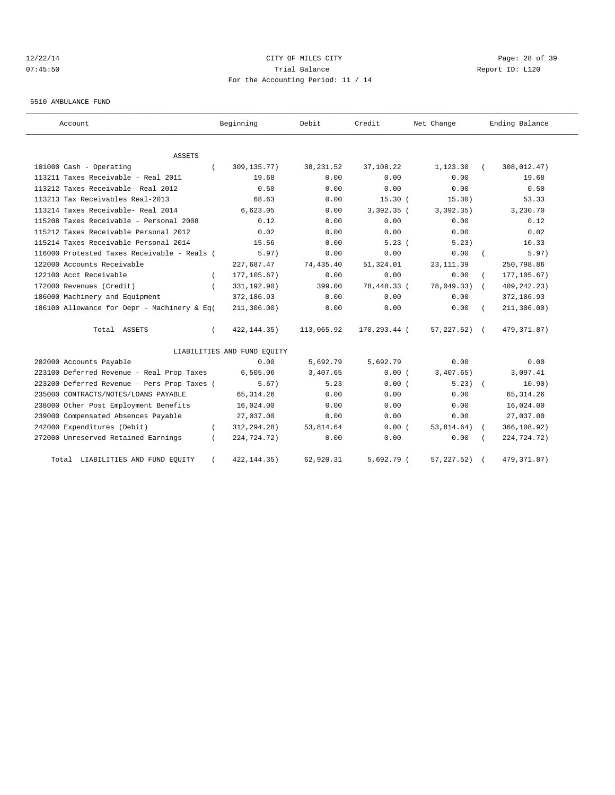## 12/22/14 Page: 28 of 39 07:45:50 Trial Balance Report ID: L120 For the Accounting Period: 11 / 14

#### 5510 AMBULANCE FUND

| Account                                     |          | Beginning                   | Debit      | Credit       | Net Change       |            | Ending Balance |
|---------------------------------------------|----------|-----------------------------|------------|--------------|------------------|------------|----------------|
| ASSETS                                      |          |                             |            |              |                  |            |                |
| 101000 Cash - Operating                     |          | 309,135.77)                 | 38, 231.52 | 37,108.22    | 1,123.30         |            | 308,012.47)    |
| 113211 Taxes Receivable - Real 2011         |          | 19.68                       | 0.00       | 0.00         | 0.00             |            | 19.68          |
| 113212 Taxes Receivable- Real 2012          |          | 0.50                        | 0.00       | 0.00         | 0.00             |            | 0.50           |
| 113213 Tax Receivables Real-2013            |          | 68.63                       | 0.00       | 15.30(       | 15.30)           |            | 53.33          |
| 113214 Taxes Receivable- Real 2014          |          | 6,623.05                    | 0.00       | $3,392.35$ ( | 3,392.35)        |            | 3,230.70       |
| 115208 Taxes Receivable - Personal 2008     |          | 0.12                        | 0.00       | 0.00         | 0.00             |            | 0.12           |
| 115212 Taxes Receivable Personal 2012       |          | 0.02                        | 0.00       | 0.00         | 0.00             |            | 0.02           |
| 115214 Taxes Receivable Personal 2014       |          | 15.56                       | 0.00       | 5.23(        | 5.23)            |            | 10.33          |
| 116000 Protested Taxes Receivable - Reals ( |          | 5.97)                       | 0.00       | 0.00         | 0.00             |            | 5.97)          |
| 122000 Accounts Receivable                  |          | 227,687.47                  | 74,435.40  | 51,324.01    | 23, 111.39       |            | 250,798.86     |
| 122100 Acct Receivable                      | $\left($ | 177, 105.67)                | 0.00       | 0.00         | 0.00             |            | 177, 105.67)   |
| 172000 Revenues (Credit)                    |          | 331,192.90)                 | 399.00     | 78,448.33 (  | 78,049.33)       | $\sqrt{2}$ | 409, 242. 23)  |
| 186000 Machinery and Equipment              |          | 372,186.93                  | 0.00       | 0.00         | 0.00             |            | 372,186.93     |
| 186100 Allowance for Depr - Machinery & Eq( |          | 211, 306.00)                | 0.00       | 0.00         | 0.00             |            | 211, 306.00)   |
| Total ASSETS                                |          | 422, 144.35)                | 113,065.92 | 170,293.44 ( | $57, 227.52$ ) ( |            | 479,371.87)    |
|                                             |          | LIABILITIES AND FUND EQUITY |            |              |                  |            |                |
| 202000 Accounts Payable                     |          | 0.00                        | 5,692.79   | 5,692.79     | 0.00             |            | 0.00           |
| 223100 Deferred Revenue - Real Prop Taxes   |          | 6,505.06                    | 3,407.65   | 0.00(        | 3,407.65)        |            | 3,097.41       |
| 223200 Deferred Revenue - Pers Prop Taxes ( |          | 5.67)                       | 5.23       | 0.00(        | $5.23$ $($       |            | 10.90)         |
| 235000 CONTRACTS/NOTES/LOANS PAYABLE        |          | 65, 314.26                  | 0.00       | 0.00         | 0.00             |            | 65, 314.26     |
| 238000 Other Post Employment Benefits       |          | 16,024.00                   | 0.00       | 0.00         | 0.00             |            | 16,024.00      |
| 239000 Compensated Absences Payable         |          | 27,037.00                   | 0.00       | 0.00         | 0.00             |            | 27,037.00      |
| 242000 Expenditures (Debit)                 | $\left($ | 312,294.28)                 | 53,814.64  | 0.00(        | 53,814.64)       | $\sqrt{2}$ | 366,108.92)    |
| 272000 Unreserved Retained Earnings         |          | 224,724.72)                 | 0.00       | 0.00         | 0.00             |            | 224,724.72)    |
| Total LIABILITIES AND FUND EQUITY           |          | 422, 144. 35)               | 62,920.31  | $5,692.79$ ( | 57, 227.52)      |            | 479, 371.87)   |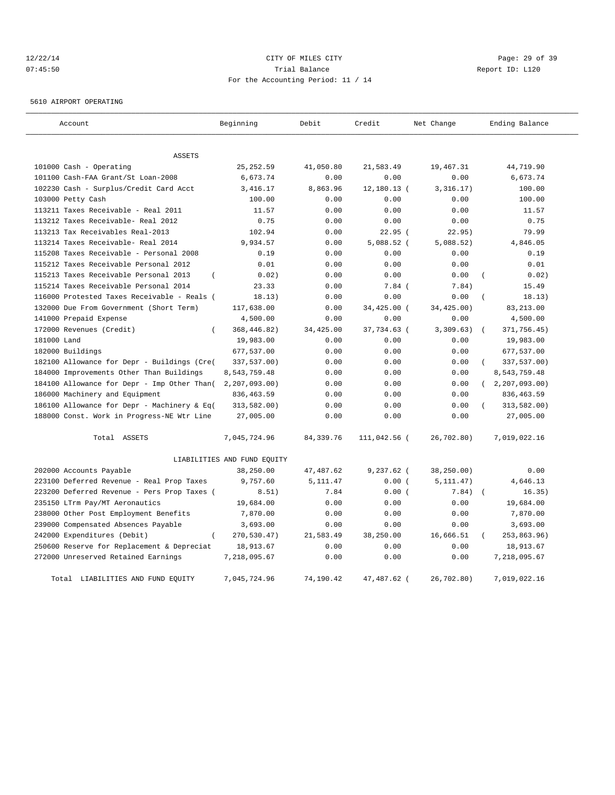## 12/22/14 Page: 29 of 39 07:45:50 Trial Balance Report ID: L120 For the Accounting Period: 11 / 14

5610 AIRPORT OPERATING

| Account                                           | Beginning                   | Debit       | Credit       | Net Change | Ending Balance               |
|---------------------------------------------------|-----------------------------|-------------|--------------|------------|------------------------------|
| <b>ASSETS</b>                                     |                             |             |              |            |                              |
| 101000 Cash - Operating                           | 25, 252.59                  | 41,050.80   | 21,583.49    | 19,467.31  | 44,719.90                    |
| 101100 Cash-FAA Grant/St Loan-2008                | 6,673.74                    | 0.00        | 0.00         | 0.00       | 6,673.74                     |
| 102230 Cash - Surplus/Credit Card Acct            | 3,416.17                    | 8,863.96    | 12,180.13 (  | 3,316.17)  | 100.00                       |
| 103000 Petty Cash                                 | 100.00                      | 0.00        | 0.00         | 0.00       | 100.00                       |
| 113211 Taxes Receivable - Real 2011               | 11.57                       | 0.00        | 0.00         | 0.00       | 11.57                        |
| 113212 Taxes Receivable- Real 2012                | 0.75                        | 0.00        | 0.00         | 0.00       | 0.75                         |
| 113213 Tax Receivables Real-2013                  | 102.94                      | 0.00        | 22.95(       | 22.95)     | 79.99                        |
| 113214 Taxes Receivable- Real 2014                | 9,934.57                    | 0.00        | $5,088.52$ ( | 5,088.52)  | 4,846.05                     |
| 115208 Taxes Receivable - Personal 2008           | 0.19                        | 0.00        | 0.00         | 0.00       | 0.19                         |
| 115212 Taxes Receivable Personal 2012             | 0.01                        | 0.00        | 0.00         | 0.00       | 0.01                         |
| 115213 Taxes Receivable Personal 2013<br>$\left($ | 0.02)                       | 0.00        | 0.00         | 0.00       | 0.02)<br>$\overline{(}$      |
| 115214 Taxes Receivable Personal 2014             | 23.33                       | 0.00        | 7.84 (       | 7.84)      | 15.49                        |
| 116000 Protested Taxes Receivable - Reals (       | 18.13)                      | 0.00        | 0.00         | 0.00       | 18.13)                       |
| 132000 Due From Government (Short Term)           | 117,638.00                  | 0.00        | 34,425.00 (  | 34,425.00) | 83,213.00                    |
| 141000 Prepaid Expense                            | 4,500.00                    | 0.00        | 0.00         | 0.00       | 4,500.00                     |
| 172000 Revenues (Credit)<br>$\overline{(\ }$      | 368, 446.82)                | 34,425.00   | 37,734.63 (  | 3,309.63)  | 371,756.45)<br>$\sqrt{ }$    |
| 181000 Land                                       | 19,983.00                   | 0.00        | 0.00         | 0.00       | 19,983.00                    |
| 182000 Buildings                                  | 677,537.00                  | 0.00        | 0.00         | 0.00       | 677,537.00                   |
| 182100 Allowance for Depr - Buildings (Cre(       | 337,537.00)                 | 0.00        | 0.00         | 0.00       | 337,537.00)                  |
| 184000 Improvements Other Than Buildings          | 8,543,759.48                | 0.00        | 0.00         | 0.00       | 8,543,759.48                 |
| 184100 Allowance for Depr - Imp Other Than(       | 2, 207, 093.00              | 0.00        | 0.00         | 0.00       | 2, 207, 093.00<br>$\sqrt{2}$ |
| 186000 Machinery and Equipment                    | 836, 463.59                 | 0.00        | 0.00         | 0.00       | 836, 463.59                  |
| 186100 Allowance for Depr - Machinery & Eq(       | 313,582.00)                 | 0.00        | 0.00         | 0.00       | 313,582.00)                  |
| 188000 Const. Work in Progress-NE Wtr Line        | 27,005.00                   | 0.00        | 0.00         | 0.00       | 27,005.00                    |
| Total ASSETS                                      | 7,045,724.96                | 84, 339. 76 | 111,042.56 ( | 26,702.80) | 7,019,022.16                 |
|                                                   | LIABILITIES AND FUND EQUITY |             |              |            |                              |
| 202000 Accounts Payable                           | 38,250.00                   | 47,487.62   | $9,237.62$ ( | 38,250.00) | 0.00                         |
| 223100 Deferred Revenue - Real Prop Taxes         | 9,757.60                    | 5, 111.47   | 0.00(        | 5, 111.47) | 4,646.13                     |
| 223200 Deferred Revenue - Pers Prop Taxes (       | 8.51)                       | 7.84        | 0.00(        | 7.84)      | 16.35)<br>$\sqrt{2}$         |
| 235150 LTrm Pay/MT Aeronautics                    | 19,684.00                   | 0.00        | 0.00         | 0.00       | 19,684.00                    |
| 238000 Other Post Employment Benefits             | 7,870.00                    | 0.00        | 0.00         | 0.00       | 7,870.00                     |
| 239000 Compensated Absences Payable               | 3,693.00                    | 0.00        | 0.00         | 0.00       | 3,693.00                     |
| 242000 Expenditures (Debit)                       | 270,530.47)                 | 21,583.49   | 38,250.00    | 16,666.51  | 253,863.96)                  |
| 250600 Reserve for Replacement & Depreciat        | 18,913.67                   | 0.00        | 0.00         | 0.00       | 18,913.67                    |
| 272000 Unreserved Retained Earnings               | 7,218,095.67                | 0.00        | 0.00         | 0.00       | 7,218,095.67                 |
| Total LIABILITIES AND FUND EQUITY                 | 7,045,724.96                | 74,190.42   | 47,487.62 (  | 26,702.80) | 7,019,022.16                 |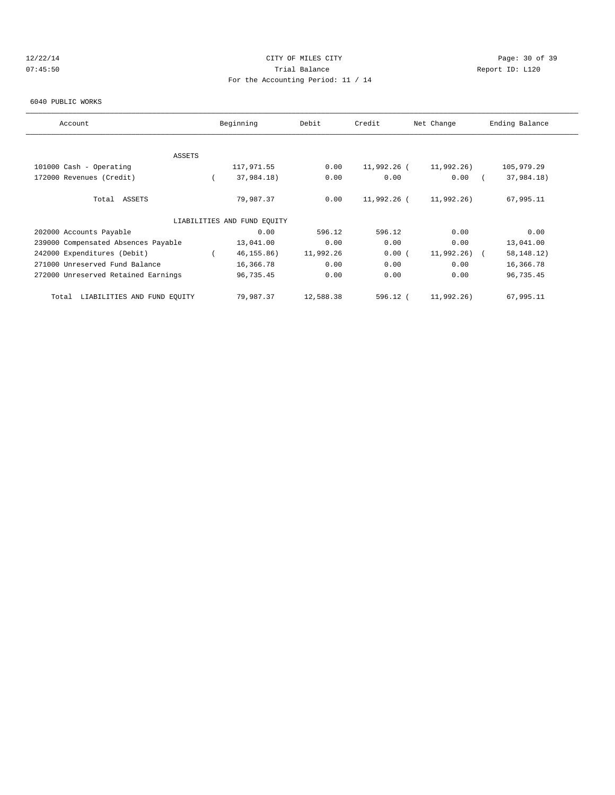## 12/22/14 Page: 30 of 39 07:45:50 Trial Balance Report ID: L120 For the Accounting Period: 11 / 14

### 6040 PUBLIC WORKS

| Account                              | Beginning                   | Debit     | Credit      | Net Change    | Ending Balance |
|--------------------------------------|-----------------------------|-----------|-------------|---------------|----------------|
|                                      |                             |           |             |               |                |
| ASSETS                               |                             |           |             |               |                |
| 101000 Cash - Operating              | 117,971.55                  | 0.00      | 11,992.26 ( | 11,992.26)    | 105,979.29     |
| 172000 Revenues (Credit)             | 37,984.18)                  | 0.00      | 0.00        | 0.00          | 37,984.18)     |
| Total ASSETS                         | 79,987.37                   | 0.00      | 11,992.26 ( | 11,992.26)    | 67,995.11      |
|                                      | LIABILITIES AND FUND EQUITY |           |             |               |                |
| 202000 Accounts Payable              | 0.00                        | 596.12    | 596.12      | 0.00          | 0.00           |
| 239000 Compensated Absences Payable  | 13,041.00                   | 0.00      | 0.00        | 0.00          | 13,041.00      |
| 242000 Expenditures (Debit)          | 46, 155.86)                 | 11,992.26 | 0.00(       | $11,992,26$ ( | 58, 148. 12)   |
| 271000 Unreserved Fund Balance       | 16,366.78                   | 0.00      | 0.00        | 0.00          | 16,366.78      |
| 272000 Unreserved Retained Earnings  | 96,735.45                   | 0.00      | 0.00        | 0.00          | 96,735.45      |
| LIABILITIES AND FUND EQUITY<br>Total | 79,987.37                   | 12,588.38 | 596.12 (    | 11,992.26)    | 67,995.11      |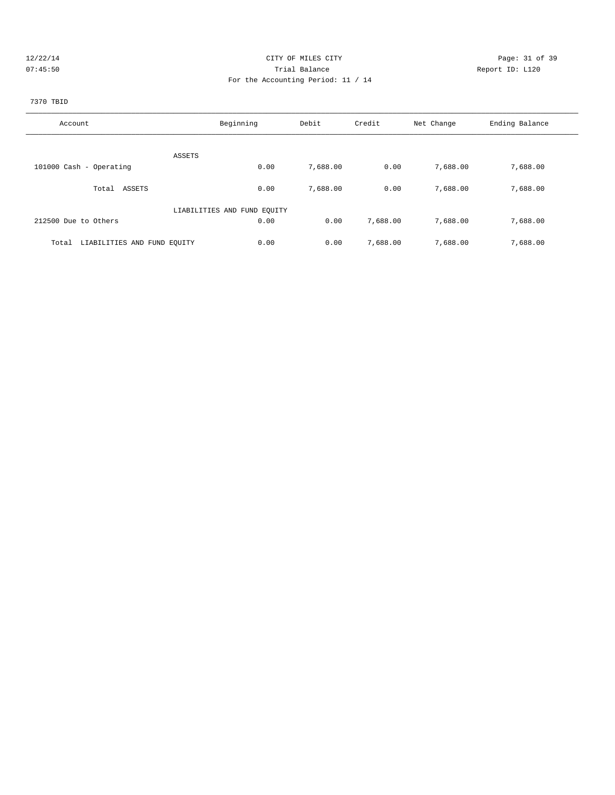| $\mathcal{L}$ | 722. |  |
|---------------|------|--|
|               |      |  |

## CITY OF MILES CITY CONTROL CONTROL CONTROL CONTROL CONTROL PAGE: 31 of 39 07:45:50 **Trial Balance Constanting Trial Balance Report ID:** L120 For the Accounting Period: 11 / 14

# 7370 TBID

| Account                              | Beginning                   | Debit    | Credit   | Net Change | Ending Balance |
|--------------------------------------|-----------------------------|----------|----------|------------|----------------|
|                                      |                             |          |          |            |                |
|                                      |                             |          |          |            |                |
|                                      | ASSETS                      |          |          |            |                |
| 101000 Cash - Operating              | 0.00                        | 7,688.00 | 0.00     | 7,688.00   | 7,688.00       |
|                                      |                             |          |          |            |                |
| ASSETS<br>Total                      | 0.00                        | 7,688.00 | 0.00     | 7,688.00   | 7,688.00       |
|                                      |                             |          |          |            |                |
|                                      | LIABILITIES AND FUND EQUITY |          |          |            |                |
| 212500 Due to Others                 | 0.00                        | 0.00     | 7,688.00 | 7,688.00   | 7,688.00       |
|                                      |                             |          |          |            |                |
| LIABILITIES AND FUND EQUITY<br>Total | 0.00                        | 0.00     | 7,688.00 | 7,688.00   | 7,688.00       |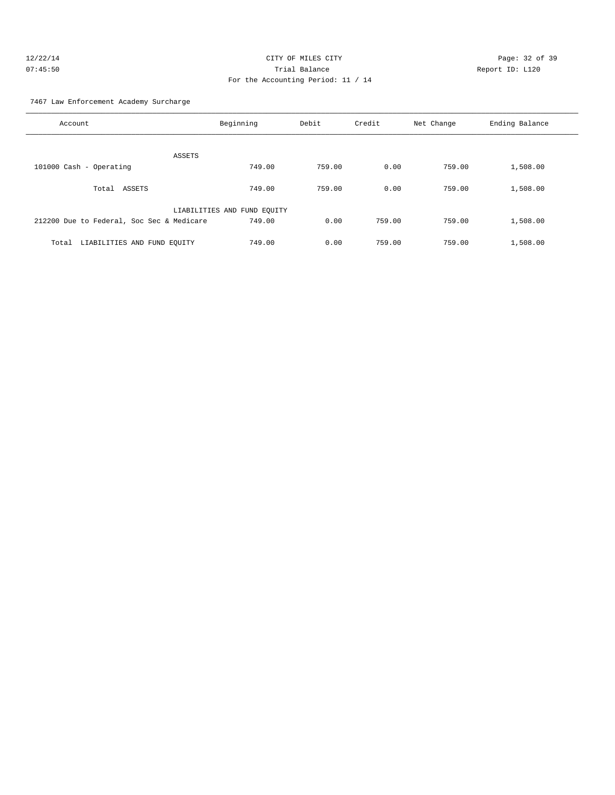7467 Law Enforcement Academy Surcharge

| Account                                   | Beginning                   | Debit  | Credit | Net Change | Ending Balance |
|-------------------------------------------|-----------------------------|--------|--------|------------|----------------|
| ASSETS                                    |                             |        |        |            |                |
| 101000 Cash - Operating                   | 749.00                      | 759.00 | 0.00   | 759.00     | 1,508.00       |
| ASSETS<br>Total                           | 749.00                      | 759.00 | 0.00   | 759.00     | 1,508.00       |
|                                           | LIABILITIES AND FUND EQUITY |        |        |            |                |
| 212200 Due to Federal, Soc Sec & Medicare | 749.00                      | 0.00   | 759.00 | 759.00     | 1,508.00       |
| LIABILITIES AND FUND EQUITY<br>Total      | 749.00                      | 0.00   | 759.00 | 759.00     | 1,508.00       |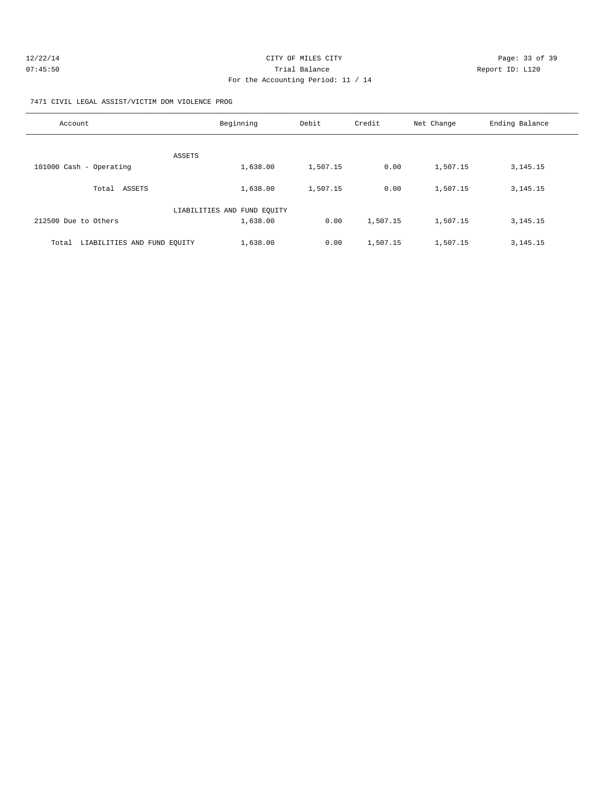| 12/22/14 | CITY OF MILES CITY                 | Page: 33 of 39  |
|----------|------------------------------------|-----------------|
| 07:45:50 | Trial Balance                      | Report ID: L120 |
|          | For the Accounting Period: 11 / 14 |                 |

7471 CIVIL LEGAL ASSIST/VICTIM DOM VIOLENCE PROG

| Account                              | Beginning                   | Debit    | Credit   | Net Change | Ending Balance |
|--------------------------------------|-----------------------------|----------|----------|------------|----------------|
| ASSETS                               |                             |          |          |            |                |
| 101000 Cash - Operating              | 1,638.00                    | 1,507.15 | 0.00     | 1,507.15   | 3, 145. 15     |
| ASSETS<br>Total                      | 1,638.00                    | 1,507.15 | 0.00     | 1,507.15   | 3, 145. 15     |
|                                      | LIABILITIES AND FUND EQUITY |          |          |            |                |
| 212500 Due to Others                 | 1,638.00                    | 0.00     | 1,507.15 | 1,507.15   | 3, 145. 15     |
| LIABILITIES AND FUND EOUITY<br>Total | 1,638.00                    | 0.00     | 1,507.15 | 1,507.15   | 3, 145. 15     |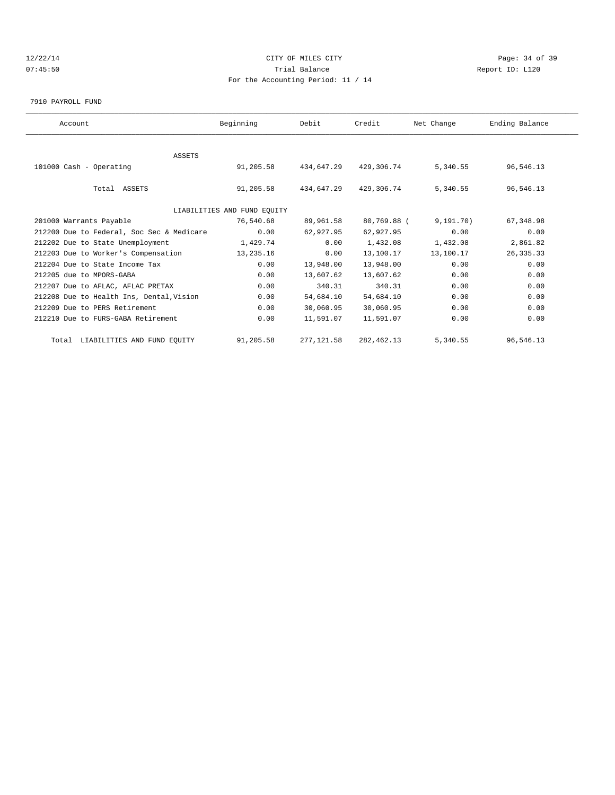## 12/22/14 Page: 34 of 39 07:45:50 Trial Balance Report ID: L120 For the Accounting Period: 11 / 14

7910 PAYROLL FUND

| Account                                   | Beginning                   | Debit       | Credit      | Net Change  | Ending Balance |  |
|-------------------------------------------|-----------------------------|-------------|-------------|-------------|----------------|--|
|                                           |                             |             |             |             |                |  |
| ASSETS                                    |                             |             |             |             |                |  |
| 101000 Cash - Operating                   | 91,205.58                   | 434,647.29  | 429,306.74  | 5,340.55    | 96,546.13      |  |
| Total ASSETS                              | 91,205.58                   | 434,647.29  | 429,306.74  | 5,340.55    | 96,546.13      |  |
|                                           | LIABILITIES AND FUND EQUITY |             |             |             |                |  |
| 201000 Warrants Payable                   | 76,540.68                   | 89,961.58   | 80,769.88 ( | 9, 191, 70) | 67,348.98      |  |
| 212200 Due to Federal, Soc Sec & Medicare | 0.00                        | 62,927.95   | 62,927.95   | 0.00        | 0.00           |  |
| 212202 Due to State Unemployment          | 1,429.74                    | 0.00        | 1,432.08    | 1,432.08    | 2,861.82       |  |
| 212203 Due to Worker's Compensation       | 13,235.16                   | 0.00        | 13,100.17   | 13,100.17   | 26, 335.33     |  |
| 212204 Due to State Income Tax            | 0.00                        | 13,948.00   | 13,948.00   | 0.00        | 0.00           |  |
| 212205 due to MPORS-GABA                  | 0.00                        | 13,607.62   | 13,607.62   | 0.00        | 0.00           |  |
| 212207 Due to AFLAC, AFLAC PRETAX         | 0.00                        | 340.31      | 340.31      | 0.00        | 0.00           |  |
| 212208 Due to Health Ins, Dental, Vision  | 0.00                        | 54,684.10   | 54,684.10   | 0.00        | 0.00           |  |
| 212209 Due to PERS Retirement             | 0.00                        | 30,060.95   | 30,060.95   | 0.00        | 0.00           |  |
| 212210 Due to FURS-GABA Retirement        | 0.00                        | 11,591.07   | 11,591.07   | 0.00        | 0.00           |  |
| Total LIABILITIES AND FUND EQUITY         | 91,205.58                   | 277, 121.58 | 282, 462.13 | 5,340.55    | 96,546.13      |  |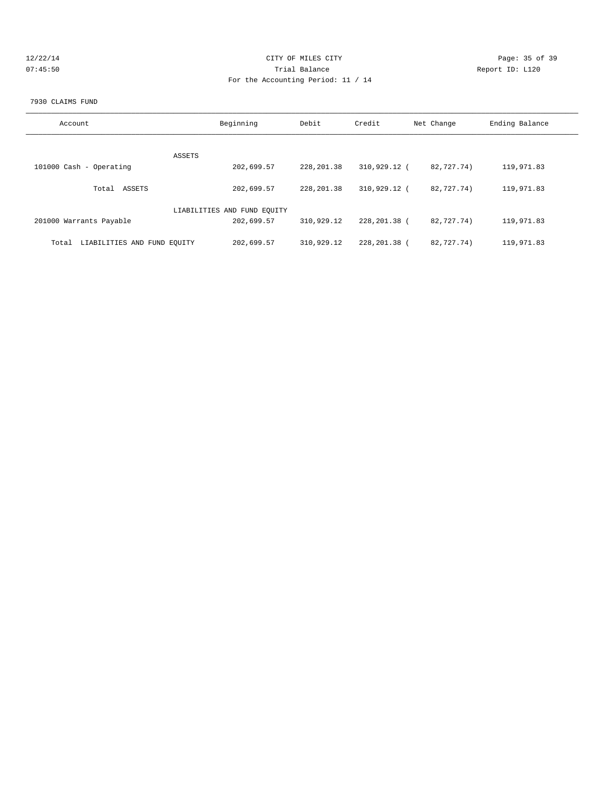| 27227 |  |
|-------|--|
|       |  |

## CITY OF MILES CITY CONTROL CONTROL CONTROL CONTROL CONTROL PAGE: 35 of 39 Trial Balance and Communicated Report ID: L120 For the Accounting Period: 11 / 14

### 7930 CLAIMS FUND

| Account                              | Beginning                   | Debit       | Credit         | Net Change | Ending Balance |
|--------------------------------------|-----------------------------|-------------|----------------|------------|----------------|
|                                      |                             |             |                |            |                |
| ASSETS<br>101000 Cash - Operating    | 202,699.57                  | 228, 201.38 | 310,929.12 (   | 82,727.74) | 119,971.83     |
| Total ASSETS                         | 202,699.57                  | 228, 201.38 | 310,929.12 (   | 82,727.74) | 119,971.83     |
|                                      | LIABILITIES AND FUND EQUITY |             |                |            |                |
| 201000 Warrants Payable              | 202,699.57                  | 310,929.12  | 228,201.38 (   | 82,727,74) | 119,971.83     |
| LIABILITIES AND FUND EOUITY<br>Total | 202,699.57                  | 310,929.12  | 228, 201. 38 ( | 82,727,74) | 119,971.83     |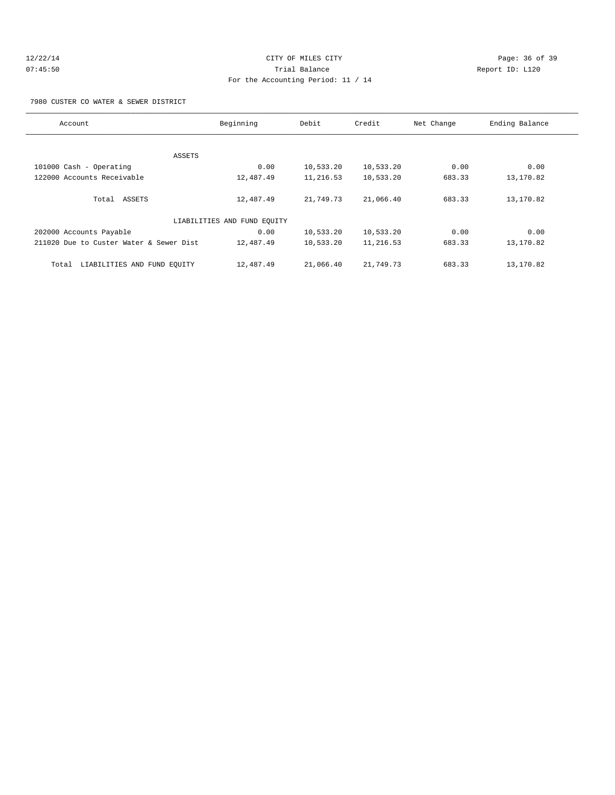## 12/22/14 Page: 36 of 39 07:45:50 Trial Balance Report ID: L120 For the Accounting Period: 11 / 14

7980 CUSTER CO WATER & SEWER DISTRICT

| Account                                 | Beginning                   | Debit     | Credit    | Net Change | Ending Balance |
|-----------------------------------------|-----------------------------|-----------|-----------|------------|----------------|
|                                         |                             |           |           |            |                |
|                                         | ASSETS                      |           |           |            |                |
| 101000 Cash - Operating                 | 0.00                        | 10,533.20 | 10,533.20 | 0.00       | 0.00           |
| 122000 Accounts Receivable              | 12,487.49                   | 11,216.53 | 10,533.20 | 683.33     | 13,170.82      |
| Total ASSETS                            | 12,487.49                   | 21,749.73 | 21,066.40 | 683.33     | 13,170.82      |
|                                         | LIABILITIES AND FUND EQUITY |           |           |            |                |
| 202000 Accounts Payable                 | 0.00                        | 10,533.20 | 10,533.20 | 0.00       | 0.00           |
| 211020 Due to Custer Water & Sewer Dist | 12,487.49                   | 10,533.20 | 11,216.53 | 683.33     | 13,170.82      |
| LIABILITIES AND FUND EQUITY<br>Total    | 12,487.49                   | 21,066.40 | 21,749.73 | 683.33     | 13,170.82      |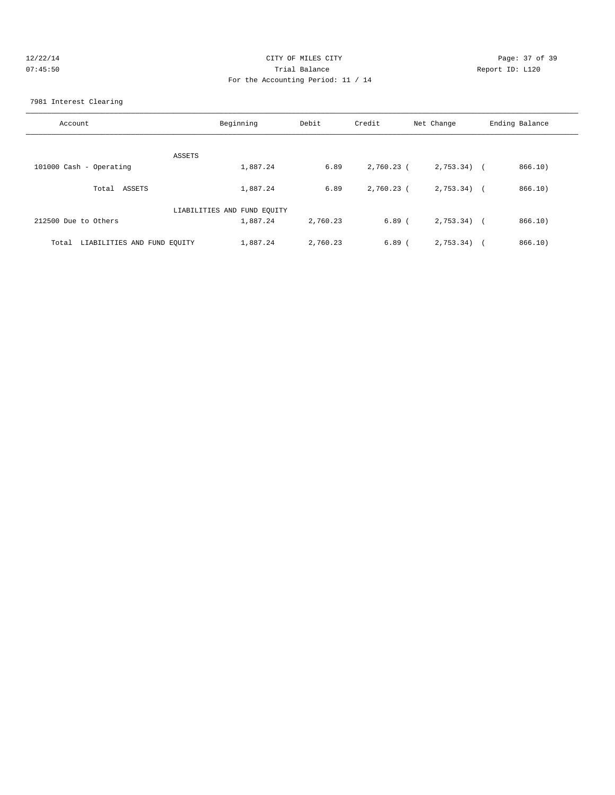| 12/22/1  |  |
|----------|--|
| 07:45:50 |  |

## Page: 37 of 39 Prial Balance and Communicated Report ID: L120 For the Accounting Period: 11 / 14

#### 7981 Interest Clearing

| Account                              | Beginning                   | Debit    | Credit     | Net Change   | Ending Balance |
|--------------------------------------|-----------------------------|----------|------------|--------------|----------------|
|                                      |                             |          |            |              |                |
|                                      | ASSETS                      |          |            |              |                |
| 101000 Cash - Operating              | 1,887.24                    | 6.89     | 2,760.23 ( | $2,753.34$ ( | 866.10)        |
| Total ASSETS                         | 1,887.24                    | 6.89     | 2,760.23 ( | $2.753.34$ ( | 866.10)        |
|                                      | LIABILITIES AND FUND EQUITY |          |            |              |                |
| 212500 Due to Others                 | 1,887.24                    | 2,760.23 | $6.89$ (   | $2,753.34$ ( | 866.10)        |
|                                      |                             |          |            |              |                |
| LIABILITIES AND FUND EQUITY<br>Total | 1,887.24                    | 2,760.23 | $6.89$ (   | $2,753.34$ ( | 866.10)        |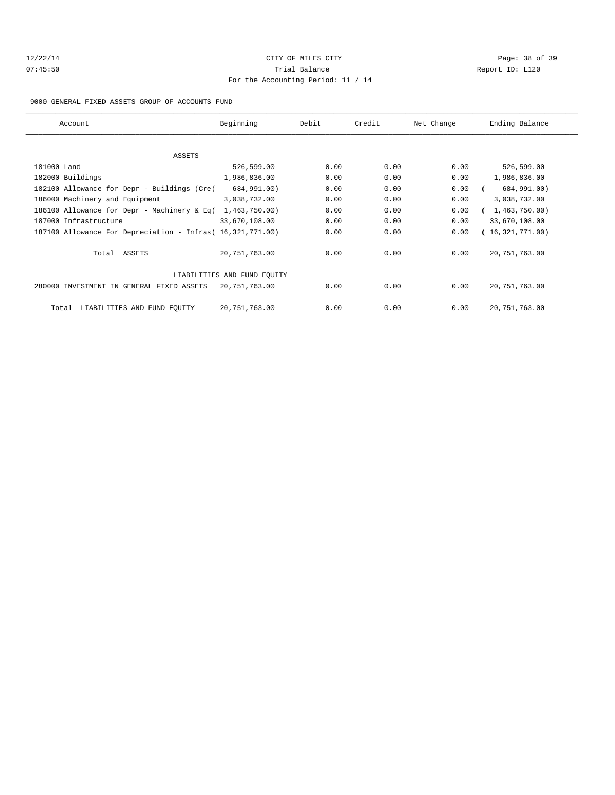## 12/22/14 Page: 38 of 39 07:45:50 Trial Balance Report ID: L120 For the Accounting Period: 11 / 14

9000 GENERAL FIXED ASSETS GROUP OF ACCOUNTS FUND

| Account                                                    | Beginning                   | Debit | Credit | Net Change | Ending Balance  |
|------------------------------------------------------------|-----------------------------|-------|--------|------------|-----------------|
|                                                            |                             |       |        |            |                 |
| <b>ASSETS</b>                                              |                             |       |        |            |                 |
| 181000 Land                                                | 526,599.00                  | 0.00  | 0.00   | 0.00       | 526,599.00      |
| 182000 Buildings                                           | 1,986,836.00                | 0.00  | 0.00   | 0.00       | 1,986,836.00    |
| 182100 Allowance for Depr - Buildings (Cre(                | 684,991.00)                 | 0.00  | 0.00   | 0.00       | 684,991.00)     |
| 186000 Machinery and Equipment                             | 3,038,732.00                | 0.00  | 0.00   | 0.00       | 3,038,732.00    |
| 186100 Allowance for Depr - Machinery & Eq(                | 1,463,750.00)               | 0.00  | 0.00   | 0.00       | 1,463,750.00    |
| 187000 Infrastructure                                      | 33,670,108.00               | 0.00  | 0.00   | 0.00       | 33,670,108.00   |
| 187100 Allowance For Depreciation - Infras( 16,321,771.00) |                             | 0.00  | 0.00   | 0.00       | 16,321,771.00   |
| Total ASSETS                                               | 20,751,763.00               | 0.00  | 0.00   | 0.00       | 20, 751, 763.00 |
|                                                            | LIABILITIES AND FUND EOUITY |       |        |            |                 |
| 280000 INVESTMENT IN GENERAL FIXED ASSETS                  | 20,751,763.00               | 0.00  | 0.00   | 0.00       | 20, 751, 763.00 |
| LIABILITIES AND FUND EQUITY<br>Total                       | 20,751,763.00               | 0.00  | 0.00   | 0.00       | 20, 751, 763.00 |